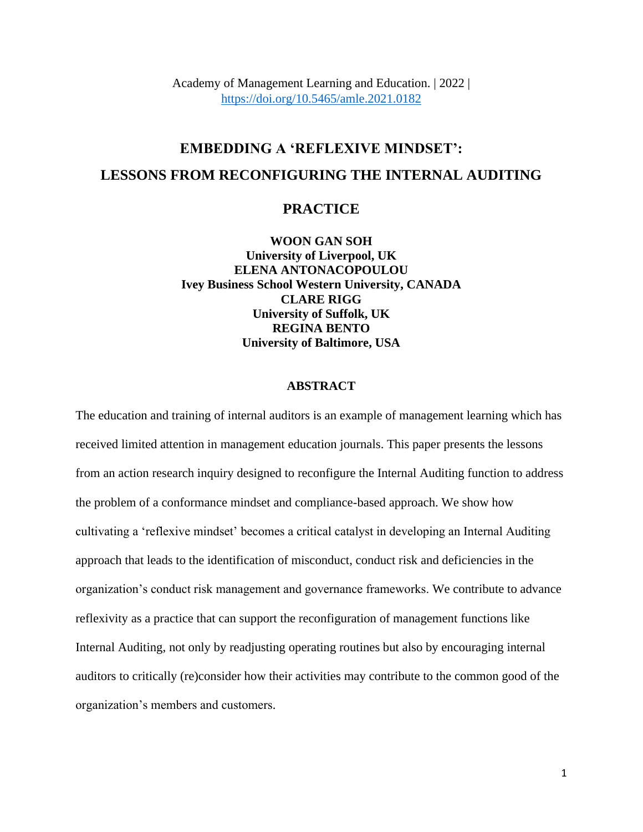Academy of Management Learning and Education. | 2022 | <https://doi.org/10.5465/amle.2021.0182>

# **EMBEDDING A 'REFLEXIVE MINDSET': LESSONS FROM RECONFIGURING THE INTERNAL AUDITING**

# **PRACTICE**

**WOON GAN SOH University of Liverpool, UK ELENA ANTONACOPOULOU Ivey Business School Western University, CANADA CLARE RIGG University of Suffolk, UK REGINA BENTO University of Baltimore, USA**

#### **ABSTRACT**

The education and training of internal auditors is an example of management learning which has received limited attention in management education journals. This paper presents the lessons from an action research inquiry designed to reconfigure the Internal Auditing function to address the problem of a conformance mindset and compliance-based approach. We show how cultivating a 'reflexive mindset' becomes a critical catalyst in developing an Internal Auditing approach that leads to the identification of misconduct, conduct risk and deficiencies in the organization's conduct risk management and governance frameworks. We contribute to advance reflexivity as a practice that can support the reconfiguration of management functions like Internal Auditing, not only by readjusting operating routines but also by encouraging internal auditors to critically (re)consider how their activities may contribute to the common good of the organization's members and customers.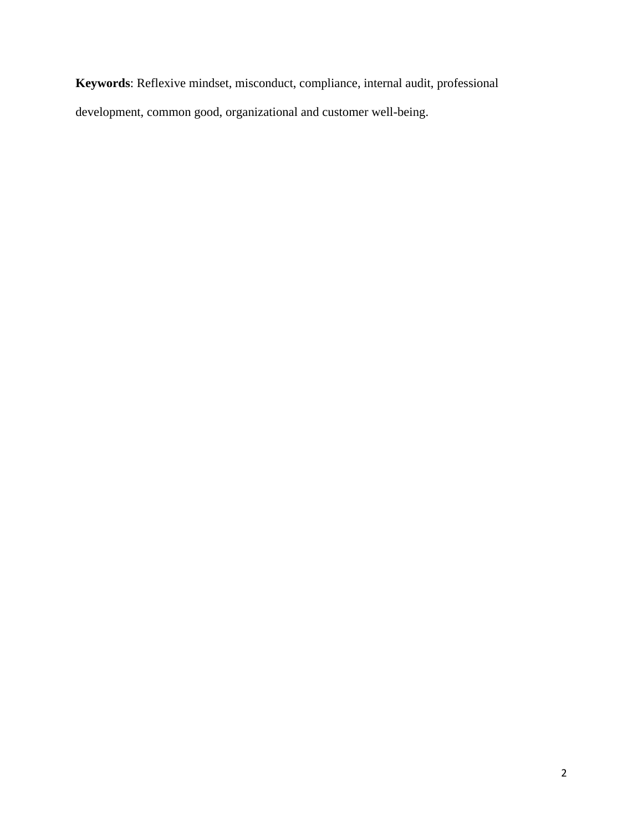**Keywords**: Reflexive mindset, misconduct, compliance, internal audit, professional development, common good, organizational and customer well-being.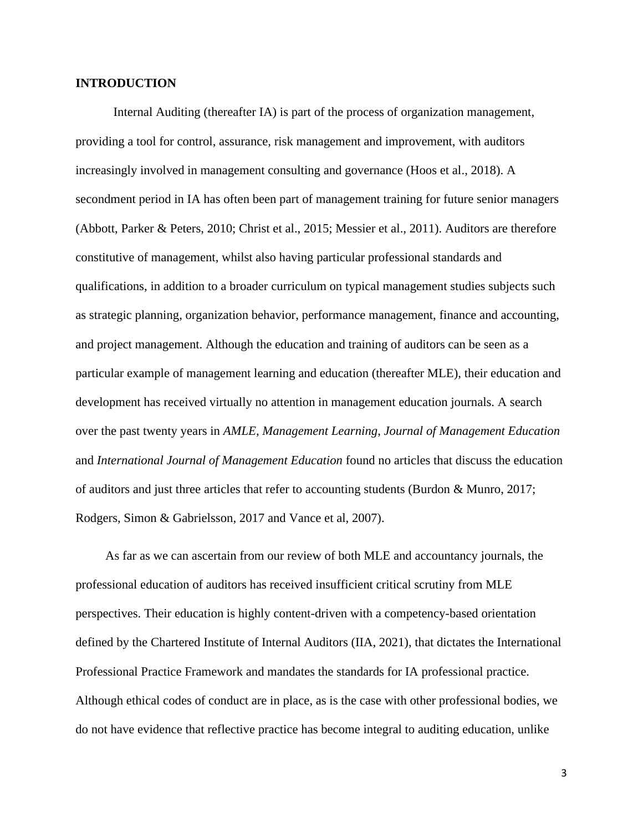### **INTRODUCTION**

Internal Auditing (thereafter IA) is part of the process of organization management, providing a tool for control, assurance, risk management and improvement, with auditors increasingly involved in management consulting and governance (Hoos et al., 2018). A secondment period in IA has often been part of management training for future senior managers (Abbott, Parker & Peters, 2010; Christ et al., 2015; Messier et al., 2011). Auditors are therefore constitutive of management, whilst also having particular professional standards and qualifications, in addition to a broader curriculum on typical management studies subjects such as strategic planning, organization behavior, performance management, finance and accounting, and project management. Although the education and training of auditors can be seen as a particular example of management learning and education (thereafter MLE), their education and development has received virtually no attention in management education journals. A search over the past twenty years in *AMLE*, *Management Learning*, *Journal of Management Education* and *International Journal of Management Education* found no articles that discuss the education of auditors and just three articles that refer to accounting students (Burdon & Munro, 2017; Rodgers, Simon & Gabrielsson, 2017 and Vance et al, 2007).

As far as we can ascertain from our review of both MLE and accountancy journals, the professional education of auditors has received insufficient critical scrutiny from MLE perspectives. Their education is highly content-driven with a competency-based orientation defined by the Chartered Institute of Internal Auditors (IIA, 2021), that dictates the International Professional Practice Framework and mandates the standards for IA professional practice. Although ethical codes of conduct are in place, as is the case with other professional bodies, we do not have evidence that reflective practice has become integral to auditing education, unlike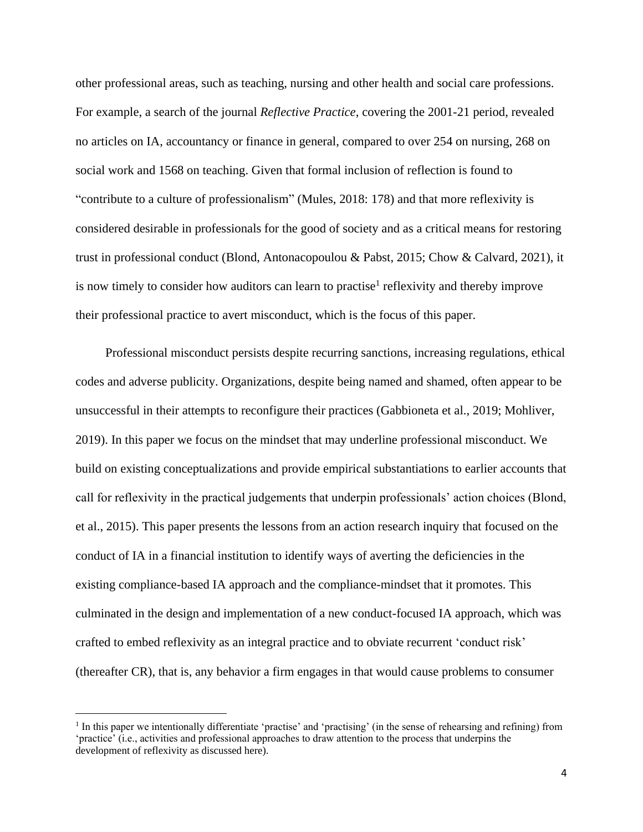other professional areas, such as teaching, nursing and other health and social care professions. For example, a search of the journal *Reflective Practice*, covering the 2001-21 period, revealed no articles on IA, accountancy or finance in general, compared to over 254 on nursing, 268 on social work and 1568 on teaching. Given that formal inclusion of reflection is found to "contribute to a culture of professionalism" (Mules, 2018: 178) and that more reflexivity is considered desirable in professionals for the good of society and as a critical means for restoring trust in professional conduct (Blond, Antonacopoulou & Pabst, 2015; Chow & Calvard, 2021), it is now timely to consider how auditors can learn to practise<sup>1</sup> reflexivity and thereby improve their professional practice to avert misconduct, which is the focus of this paper.

Professional misconduct persists despite recurring sanctions, increasing regulations, ethical codes and adverse publicity. Organizations, despite being named and shamed, often appear to be unsuccessful in their attempts to reconfigure their practices (Gabbioneta et al., 2019; Mohliver, 2019). In this paper we focus on the mindset that may underline professional misconduct. We build on existing conceptualizations and provide empirical substantiations to earlier accounts that call for reflexivity in the practical judgements that underpin professionals' action choices (Blond, et al., 2015). This paper presents the lessons from an action research inquiry that focused on the conduct of IA in a financial institution to identify ways of averting the deficiencies in the existing compliance-based IA approach and the compliance-mindset that it promotes. This culminated in the design and implementation of a new conduct-focused IA approach, which was crafted to embed reflexivity as an integral practice and to obviate recurrent 'conduct risk' (thereafter CR), that is, any behavior a firm engages in that would cause problems to consumer

<sup>&</sup>lt;sup>1</sup> In this paper we intentionally differentiate 'practise' and 'practising' (in the sense of rehearsing and refining) from 'practice' (i.e., activities and professional approaches to draw attention to the process that underpins the development of reflexivity as discussed here).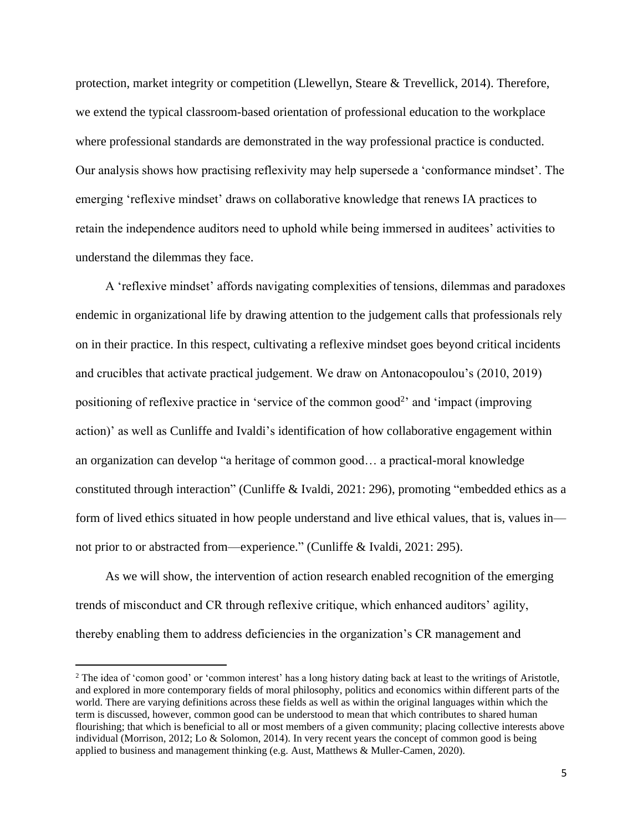protection, market integrity or competition (Llewellyn, Steare & Trevellick, 2014). Therefore, we extend the typical classroom-based orientation of professional education to the workplace where professional standards are demonstrated in the way professional practice is conducted. Our analysis shows how practising reflexivity may help supersede a 'conformance mindset'. The emerging 'reflexive mindset' draws on collaborative knowledge that renews IA practices to retain the independence auditors need to uphold while being immersed in auditees' activities to understand the dilemmas they face.

A 'reflexive mindset' affords navigating complexities of tensions, dilemmas and paradoxes endemic in organizational life by drawing attention to the judgement calls that professionals rely on in their practice. In this respect, cultivating a reflexive mindset goes beyond critical incidents and crucibles that activate practical judgement. We draw on Antonacopoulou's (2010, 2019) positioning of reflexive practice in 'service of the common good<sup>2</sup>' and 'impact (improving action)' as well as Cunliffe and Ivaldi's identification of how collaborative engagement within an organization can develop "a heritage of common good… a practical-moral knowledge constituted through interaction" (Cunliffe & Ivaldi, 2021: 296), promoting "embedded ethics as a form of lived ethics situated in how people understand and live ethical values, that is, values in not prior to or abstracted from—experience." (Cunliffe & Ivaldi, 2021: 295).

As we will show, the intervention of action research enabled recognition of the emerging trends of misconduct and CR through reflexive critique, which enhanced auditors' agility, thereby enabling them to address deficiencies in the organization's CR management and

<sup>&</sup>lt;sup>2</sup> The idea of 'comon good' or 'common interest' has a long history dating back at least to the writings of Aristotle, and explored in more contemporary fields of moral philosophy, politics and economics within different parts of the world. There are varying definitions across these fields as well as within the original languages within which the term is discussed, however, common good can be understood to mean that which contributes to shared human flourishing; that which is beneficial to all or most members of a given community; placing collective interests above individual (Morrison, 2012; Lo & Solomon, 2014). In very recent years the concept of common good is being applied to business and management thinking (e.g. Aust, Matthews & Muller-Camen, 2020).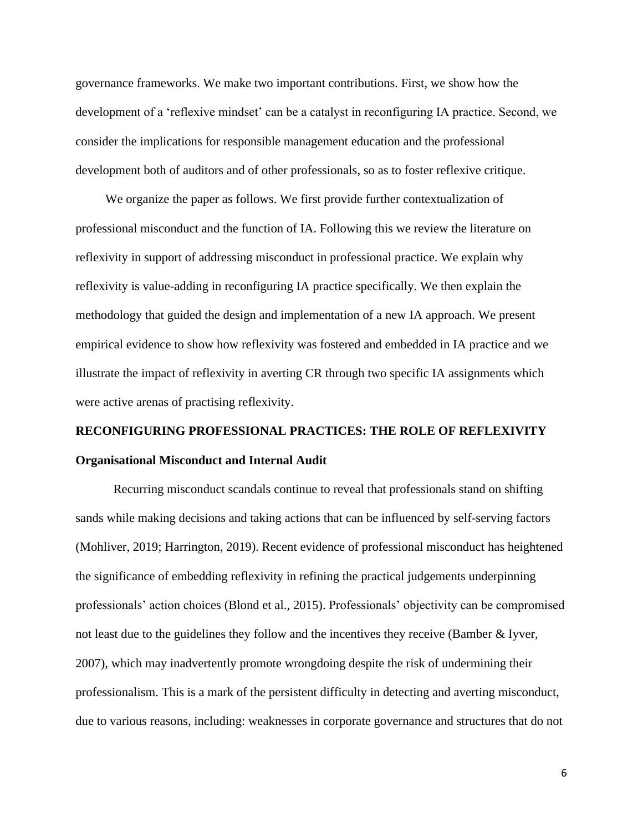governance frameworks. We make two important contributions. First, we show how the development of a 'reflexive mindset' can be a catalyst in reconfiguring IA practice. Second, we consider the implications for responsible management education and the professional development both of auditors and of other professionals, so as to foster reflexive critique.

We organize the paper as follows. We first provide further contextualization of professional misconduct and the function of IA. Following this we review the literature on reflexivity in support of addressing misconduct in professional practice. We explain why reflexivity is value-adding in reconfiguring IA practice specifically. We then explain the methodology that guided the design and implementation of a new IA approach. We present empirical evidence to show how reflexivity was fostered and embedded in IA practice and we illustrate the impact of reflexivity in averting CR through two specific IA assignments which were active arenas of practising reflexivity.

# **RECONFIGURING PROFESSIONAL PRACTICES: THE ROLE OF REFLEXIVITY Organisational Misconduct and Internal Audit**

Recurring misconduct scandals continue to reveal that professionals stand on shifting sands while making decisions and taking actions that can be influenced by self-serving factors (Mohliver, 2019; Harrington, 2019). Recent evidence of professional misconduct has heightened the significance of embedding reflexivity in refining the practical judgements underpinning professionals' action choices (Blond et al., 2015). Professionals' objectivity can be compromised not least due to the guidelines they follow and the incentives they receive (Bamber & Iyver, 2007), which may inadvertently promote wrongdoing despite the risk of undermining their professionalism. This is a mark of the persistent difficulty in detecting and averting misconduct, due to various reasons, including: weaknesses in corporate governance and structures that do not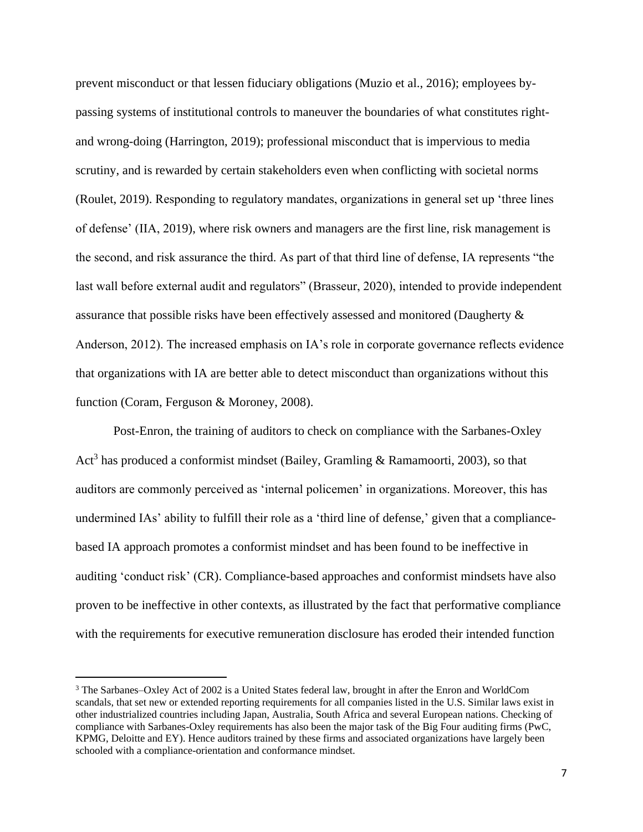prevent misconduct or that lessen fiduciary obligations (Muzio et al., 2016); employees bypassing systems of institutional controls to maneuver the boundaries of what constitutes rightand wrong-doing (Harrington, 2019); professional misconduct that is impervious to media scrutiny, and is rewarded by certain stakeholders even when conflicting with societal norms (Roulet, 2019). Responding to regulatory mandates, organizations in general set up 'three lines of defense' (IIA, 2019), where risk owners and managers are the first line, risk management is the second, and risk assurance the third. As part of that third line of defense, IA represents "the last wall before external audit and regulators" (Brasseur, 2020), intended to provide independent assurance that possible risks have been effectively assessed and monitored (Daugherty & Anderson, 2012). The increased emphasis on IA's role in corporate governance reflects evidence that organizations with IA are better able to detect misconduct than organizations without this function (Coram, Ferguson & Moroney, 2008).

Post-Enron, the training of auditors to check on compliance with the Sarbanes-Oxley Act<sup>3</sup> has produced a conformist mindset (Bailey, Gramling & Ramamoorti, 2003), so that auditors are commonly perceived as 'internal policemen' in organizations. Moreover, this has undermined IAs' ability to fulfill their role as a 'third line of defense,' given that a compliancebased IA approach promotes a conformist mindset and has been found to be ineffective in auditing 'conduct risk' (CR). Compliance-based approaches and conformist mindsets have also proven to be ineffective in other contexts, as illustrated by the fact that performative compliance with the requirements for executive remuneration disclosure has eroded their intended function

<sup>3</sup> The Sarbanes–Oxley Act of 2002 is a United States federal law, brought in after the Enron and WorldCom scandals, that set new or extended reporting requirements for all companies listed in the U.S. Similar laws exist in other industrialized countries including Japan, Australia, South Africa and several European nations. Checking of compliance with Sarbanes-Oxley requirements has also been the major task of the Big Four auditing firms (PwC, KPMG, Deloitte and EY). Hence auditors trained by these firms and associated organizations have largely been schooled with a compliance-orientation and conformance mindset.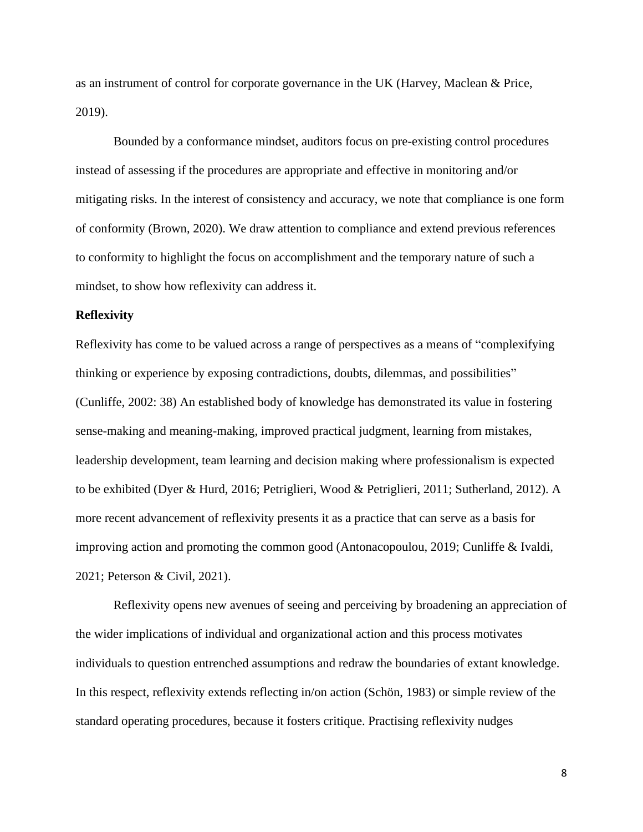as an instrument of control for corporate governance in the UK (Harvey, Maclean & Price, 2019).

Bounded by a conformance mindset, auditors focus on pre-existing control procedures instead of assessing if the procedures are appropriate and effective in monitoring and/or mitigating risks. In the interest of consistency and accuracy, we note that compliance is one form of conformity (Brown, 2020). We draw attention to compliance and extend previous references to conformity to highlight the focus on accomplishment and the temporary nature of such a mindset, to show how reflexivity can address it.

#### **Reflexivity**

Reflexivity has come to be valued across a range of perspectives as a means of "complexifying thinking or experience by exposing contradictions, doubts, dilemmas, and possibilities" (Cunliffe, 2002: 38) An established body of knowledge has demonstrated its value in fostering sense-making and meaning-making, improved practical judgment, learning from mistakes, leadership development, team learning and decision making where professionalism is expected to be exhibited (Dyer & Hurd, 2016; Petriglieri, Wood & Petriglieri, 2011; Sutherland, 2012). A more recent advancement of reflexivity presents it as a practice that can serve as a basis for improving action and promoting the common good (Antonacopoulou, 2019; Cunliffe & Ivaldi, 2021; Peterson & Civil, 2021).

Reflexivity opens new avenues of seeing and perceiving by broadening an appreciation of the wider implications of individual and organizational action and this process motivates individuals to question entrenched assumptions and redraw the boundaries of extant knowledge. In this respect, reflexivity extends reflecting in/on action (Schön, 1983) or simple review of the standard operating procedures, because it fosters critique. Practising reflexivity nudges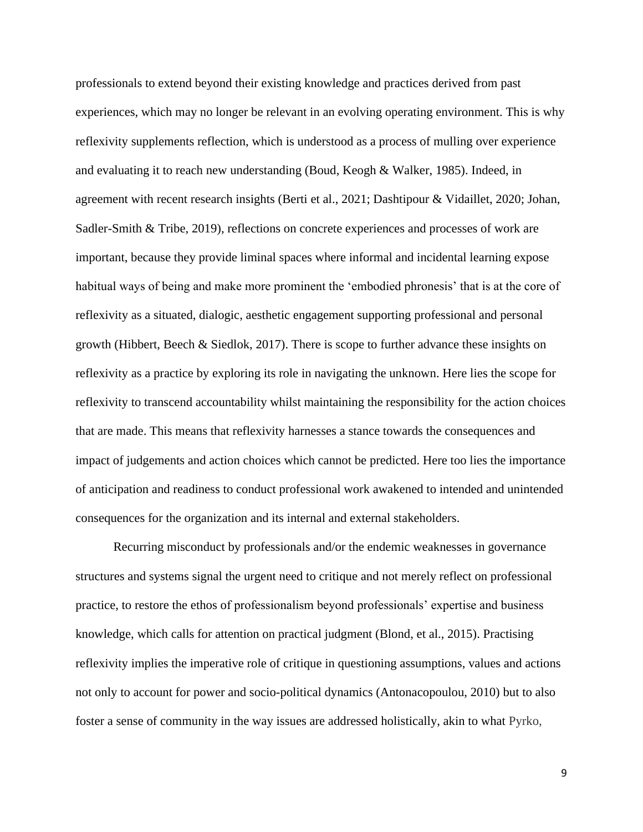professionals to extend beyond their existing knowledge and practices derived from past experiences, which may no longer be relevant in an evolving operating environment. This is why reflexivity supplements reflection, which is understood as a process of mulling over experience and evaluating it to reach new understanding (Boud, Keogh & Walker, 1985). Indeed, in agreement with recent research insights (Berti et al., 2021; Dashtipour & Vidaillet, 2020; Johan, Sadler-Smith & Tribe, 2019), reflections on concrete experiences and processes of work are important, because they provide liminal spaces where informal and incidental learning expose habitual ways of being and make more prominent the 'embodied phronesis' that is at the core of reflexivity as a situated, dialogic, aesthetic engagement supporting professional and personal growth (Hibbert, Beech & Siedlok, 2017). There is scope to further advance these insights on reflexivity as a practice by exploring its role in navigating the unknown. Here lies the scope for reflexivity to transcend accountability whilst maintaining the responsibility for the action choices that are made. This means that reflexivity harnesses a stance towards the consequences and impact of judgements and action choices which cannot be predicted. Here too lies the importance of anticipation and readiness to conduct professional work awakened to intended and unintended consequences for the organization and its internal and external stakeholders.

Recurring misconduct by professionals and/or the endemic weaknesses in governance structures and systems signal the urgent need to critique and not merely reflect on professional practice, to restore the ethos of professionalism beyond professionals' expertise and business knowledge, which calls for attention on practical judgment (Blond, et al., 2015). Practising reflexivity implies the imperative role of critique in questioning assumptions, values and actions not only to account for power and socio-political dynamics (Antonacopoulou, 2010) but to also foster a sense of community in the way issues are addressed holistically, akin to what Pyrko,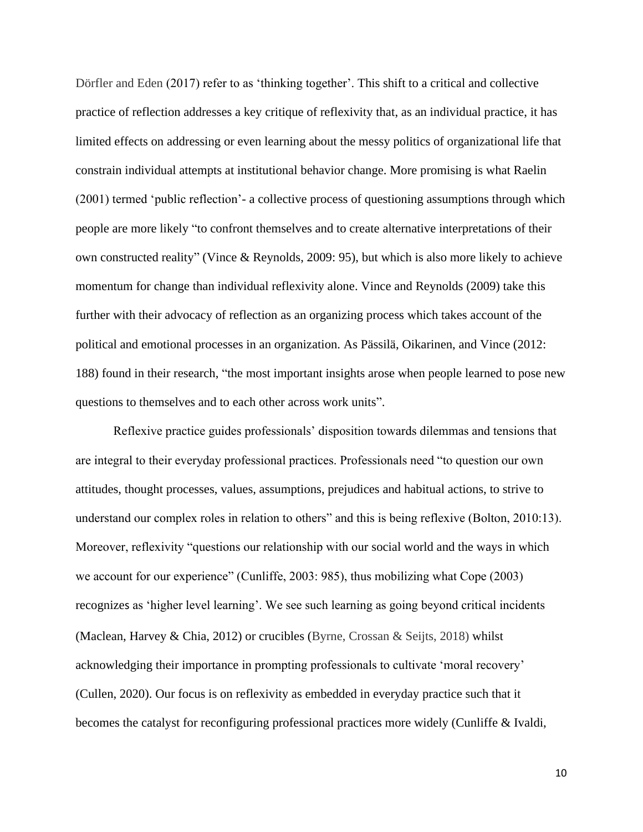Dörfler and Eden (2017) refer to as 'thinking together'. This shift to a critical and collective practice of reflection addresses a key critique of reflexivity that, as an individual practice, it has limited effects on addressing or even learning about the messy politics of organizational life that constrain individual attempts at institutional behavior change. More promising is what Raelin (2001) termed 'public reflection'- a collective process of questioning assumptions through which people are more likely "to confront themselves and to create alternative interpretations of their own constructed reality" (Vince & Reynolds, 2009: 95), but which is also more likely to achieve momentum for change than individual reflexivity alone. Vince and Reynolds (2009) take this further with their advocacy of reflection as an organizing process which takes account of the political and emotional processes in an organization. As Pässilä, Oikarinen, and Vince (2012: 188) found in their research, "the most important insights arose when people learned to pose new questions to themselves and to each other across work units".

Reflexive practice guides professionals' disposition towards dilemmas and tensions that are integral to their everyday professional practices. Professionals need "to question our own attitudes, thought processes, values, assumptions, prejudices and habitual actions, to strive to understand our complex roles in relation to others" and this is being reflexive (Bolton, 2010:13). Moreover, reflexivity "questions our relationship with our social world and the ways in which we account for our experience" (Cunliffe, 2003: 985), thus mobilizing what Cope (2003) recognizes as 'higher level learning'. We see such learning as going beyond critical incidents (Maclean, Harvey & Chia, 2012) or crucibles (Byrne, Crossan & Seijts, 2018) whilst acknowledging their importance in prompting professionals to cultivate 'moral recovery' (Cullen, 2020). Our focus is on reflexivity as embedded in everyday practice such that it becomes the catalyst for reconfiguring professional practices more widely (Cunliffe & Ivaldi,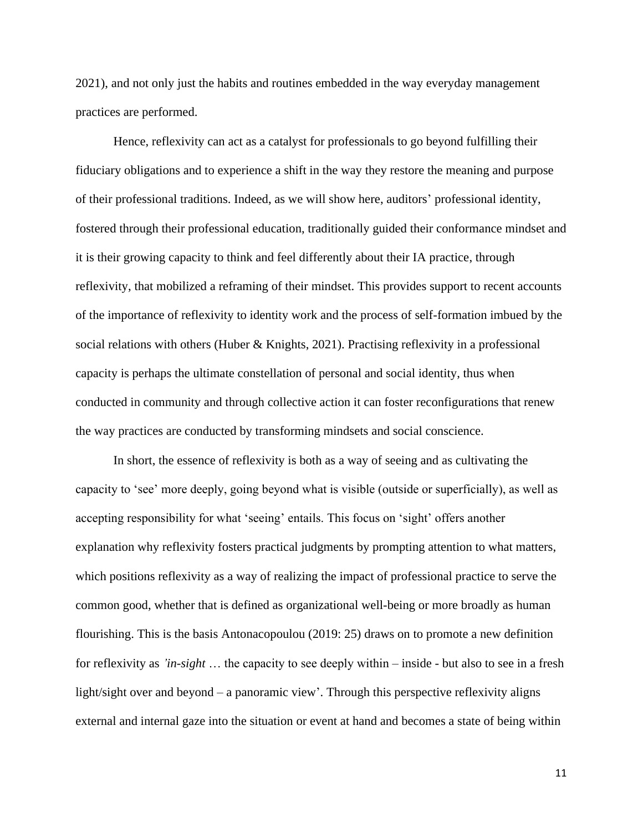2021), and not only just the habits and routines embedded in the way everyday management practices are performed.

Hence, reflexivity can act as a catalyst for professionals to go beyond fulfilling their fiduciary obligations and to experience a shift in the way they restore the meaning and purpose of their professional traditions. Indeed, as we will show here, auditors' professional identity, fostered through their professional education, traditionally guided their conformance mindset and it is their growing capacity to think and feel differently about their IA practice, through reflexivity, that mobilized a reframing of their mindset. This provides support to recent accounts of the importance of reflexivity to identity work and the process of self-formation imbued by the social relations with others (Huber & Knights, 2021). Practising reflexivity in a professional capacity is perhaps the ultimate constellation of personal and social identity, thus when conducted in community and through collective action it can foster reconfigurations that renew the way practices are conducted by transforming mindsets and social conscience.

In short, the essence of reflexivity is both as a way of seeing and as cultivating the capacity to 'see' more deeply, going beyond what is visible (outside or superficially), as well as accepting responsibility for what 'seeing' entails. This focus on 'sight' offers another explanation why reflexivity fosters practical judgments by prompting attention to what matters, which positions reflexivity as a way of realizing the impact of professional practice to serve the common good, whether that is defined as organizational well-being or more broadly as human flourishing. This is the basis Antonacopoulou (2019: 25) draws on to promote a new definition for reflexivity as *'in-sight* … the capacity to see deeply within – inside - but also to see in a fresh light/sight over and beyond – a panoramic view'. Through this perspective reflexivity aligns external and internal gaze into the situation or event at hand and becomes a state of being within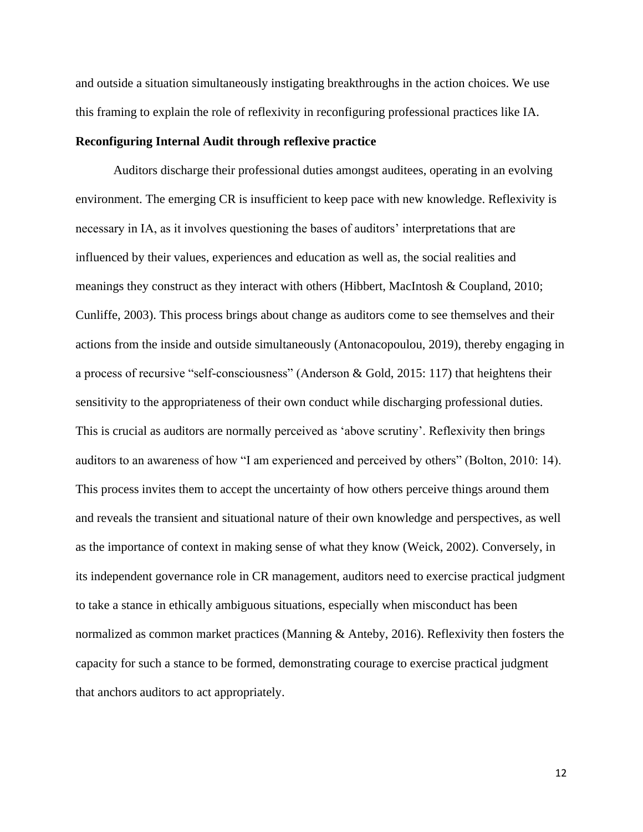and outside a situation simultaneously instigating breakthroughs in the action choices. We use this framing to explain the role of reflexivity in reconfiguring professional practices like IA.

#### **Reconfiguring Internal Audit through reflexive practice**

Auditors discharge their professional duties amongst auditees, operating in an evolving environment. The emerging CR is insufficient to keep pace with new knowledge. Reflexivity is necessary in IA, as it involves questioning the bases of auditors' interpretations that are influenced by their values, experiences and education as well as, the social realities and meanings they construct as they interact with others (Hibbert, MacIntosh & Coupland, 2010; Cunliffe, 2003). This process brings about change as auditors come to see themselves and their actions from the inside and outside simultaneously (Antonacopoulou, 2019), thereby engaging in a process of recursive "self-consciousness" (Anderson & Gold, 2015: 117) that heightens their sensitivity to the appropriateness of their own conduct while discharging professional duties. This is crucial as auditors are normally perceived as 'above scrutiny'. Reflexivity then brings auditors to an awareness of how "I am experienced and perceived by others" (Bolton, 2010: 14). This process invites them to accept the uncertainty of how others perceive things around them and reveals the transient and situational nature of their own knowledge and perspectives, as well as the importance of context in making sense of what they know (Weick, 2002). Conversely, in its independent governance role in CR management, auditors need to exercise practical judgment to take a stance in ethically ambiguous situations, especially when misconduct has been normalized as common market practices (Manning & Anteby, 2016). Reflexivity then fosters the capacity for such a stance to be formed, demonstrating courage to exercise practical judgment that anchors auditors to act appropriately.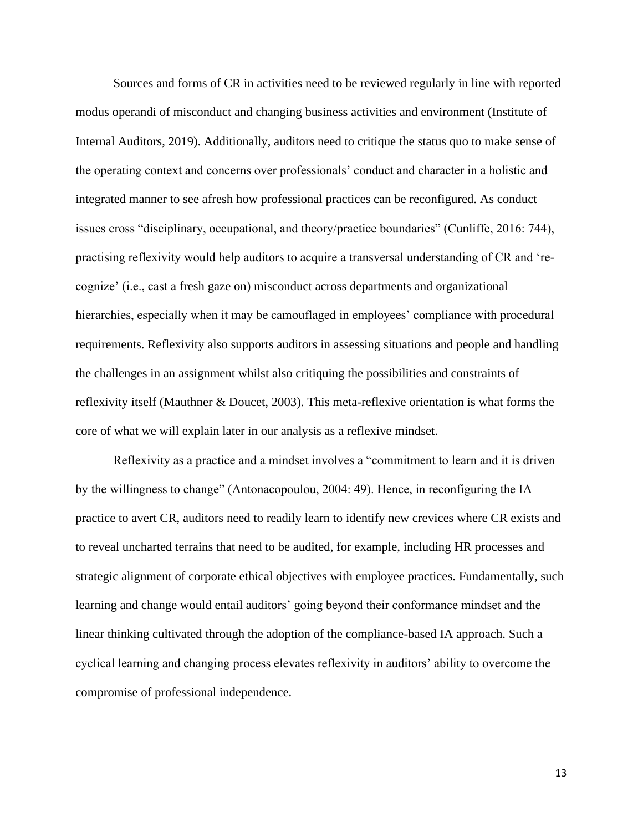Sources and forms of CR in activities need to be reviewed regularly in line with reported modus operandi of misconduct and changing business activities and environment (Institute of Internal Auditors, 2019). Additionally, auditors need to critique the status quo to make sense of the operating context and concerns over professionals' conduct and character in a holistic and integrated manner to see afresh how professional practices can be reconfigured. As conduct issues cross "disciplinary, occupational, and theory/practice boundaries" (Cunliffe, 2016: 744), practising reflexivity would help auditors to acquire a transversal understanding of CR and 'recognize' (i.e., cast a fresh gaze on) misconduct across departments and organizational hierarchies, especially when it may be camouflaged in employees' compliance with procedural requirements. Reflexivity also supports auditors in assessing situations and people and handling the challenges in an assignment whilst also critiquing the possibilities and constraints of reflexivity itself (Mauthner & Doucet, 2003). This meta-reflexive orientation is what forms the core of what we will explain later in our analysis as a reflexive mindset.

Reflexivity as a practice and a mindset involves a "commitment to learn and it is driven by the willingness to change" (Antonacopoulou, 2004: 49). Hence, in reconfiguring the IA practice to avert CR, auditors need to readily learn to identify new crevices where CR exists and to reveal uncharted terrains that need to be audited, for example, including HR processes and strategic alignment of corporate ethical objectives with employee practices. Fundamentally, such learning and change would entail auditors' going beyond their conformance mindset and the linear thinking cultivated through the adoption of the compliance-based IA approach. Such a cyclical learning and changing process elevates reflexivity in auditors' ability to overcome the compromise of professional independence.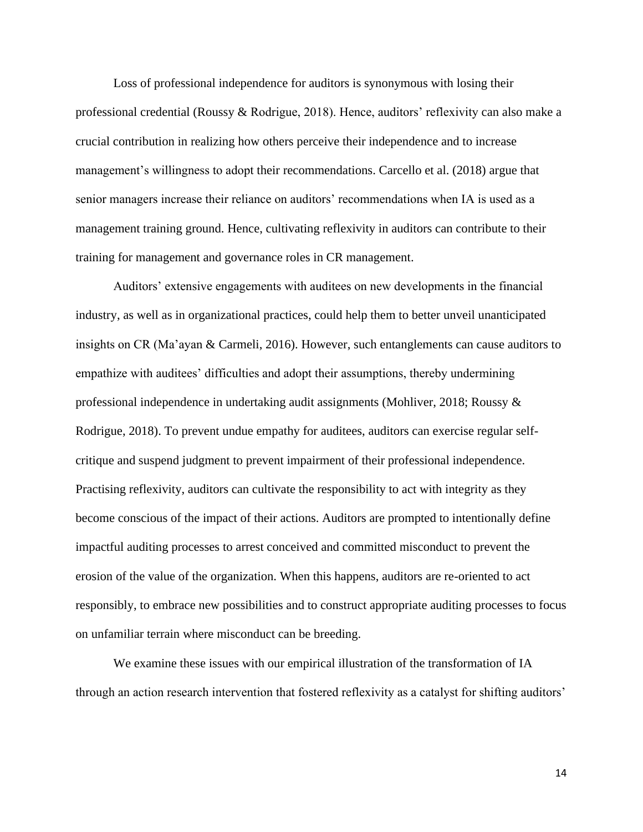Loss of professional independence for auditors is synonymous with losing their professional credential (Roussy & Rodrigue, 2018). Hence, auditors' reflexivity can also make a crucial contribution in realizing how others perceive their independence and to increase management's willingness to adopt their recommendations. Carcello et al. (2018) argue that senior managers increase their reliance on auditors' recommendations when IA is used as a management training ground. Hence, cultivating reflexivity in auditors can contribute to their training for management and governance roles in CR management.

Auditors' extensive engagements with auditees on new developments in the financial industry, as well as in organizational practices, could help them to better unveil unanticipated insights on CR (Ma'ayan & Carmeli, 2016). However, such entanglements can cause auditors to empathize with auditees' difficulties and adopt their assumptions, thereby undermining professional independence in undertaking audit assignments (Mohliver, 2018; Roussy & Rodrigue, 2018). To prevent undue empathy for auditees, auditors can exercise regular selfcritique and suspend judgment to prevent impairment of their professional independence. Practising reflexivity, auditors can cultivate the responsibility to act with integrity as they become conscious of the impact of their actions. Auditors are prompted to intentionally define impactful auditing processes to arrest conceived and committed misconduct to prevent the erosion of the value of the organization. When this happens, auditors are re-oriented to act responsibly, to embrace new possibilities and to construct appropriate auditing processes to focus on unfamiliar terrain where misconduct can be breeding.

We examine these issues with our empirical illustration of the transformation of IA through an action research intervention that fostered reflexivity as a catalyst for shifting auditors'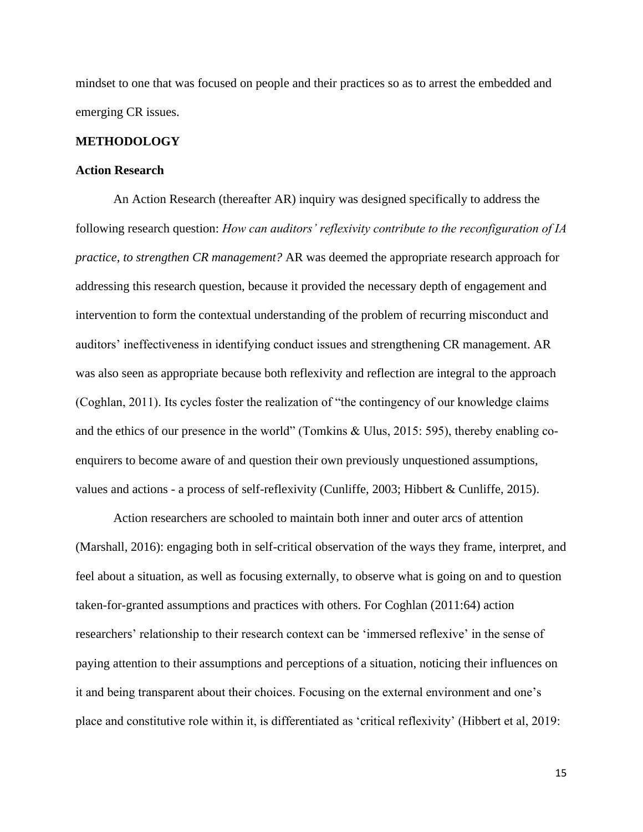mindset to one that was focused on people and their practices so as to arrest the embedded and emerging CR issues.

#### **METHODOLOGY**

# **Action Research**

An Action Research (thereafter AR) inquiry was designed specifically to address the following research question: *How can auditors' reflexivity contribute to the reconfiguration of IA practice, to strengthen CR management?* AR was deemed the appropriate research approach for addressing this research question, because it provided the necessary depth of engagement and intervention to form the contextual understanding of the problem of recurring misconduct and auditors' ineffectiveness in identifying conduct issues and strengthening CR management. AR was also seen as appropriate because both reflexivity and reflection are integral to the approach (Coghlan, 2011). Its cycles foster the realization of "the contingency of our knowledge claims and the ethics of our presence in the world" (Tomkins & Ulus, 2015: 595), thereby enabling coenquirers to become aware of and question their own previously unquestioned assumptions, values and actions - a process of self-reflexivity (Cunliffe, 2003; Hibbert & Cunliffe, 2015).

Action researchers are schooled to maintain both inner and outer arcs of attention (Marshall, 2016): engaging both in self-critical observation of the ways they frame, interpret, and feel about a situation, as well as focusing externally, to observe what is going on and to question taken-for-granted assumptions and practices with others. For Coghlan (2011:64) action researchers' relationship to their research context can be 'immersed reflexive' in the sense of paying attention to their assumptions and perceptions of a situation, noticing their influences on it and being transparent about their choices. Focusing on the external environment and one's place and constitutive role within it, is differentiated as 'critical reflexivity' (Hibbert et al, 2019: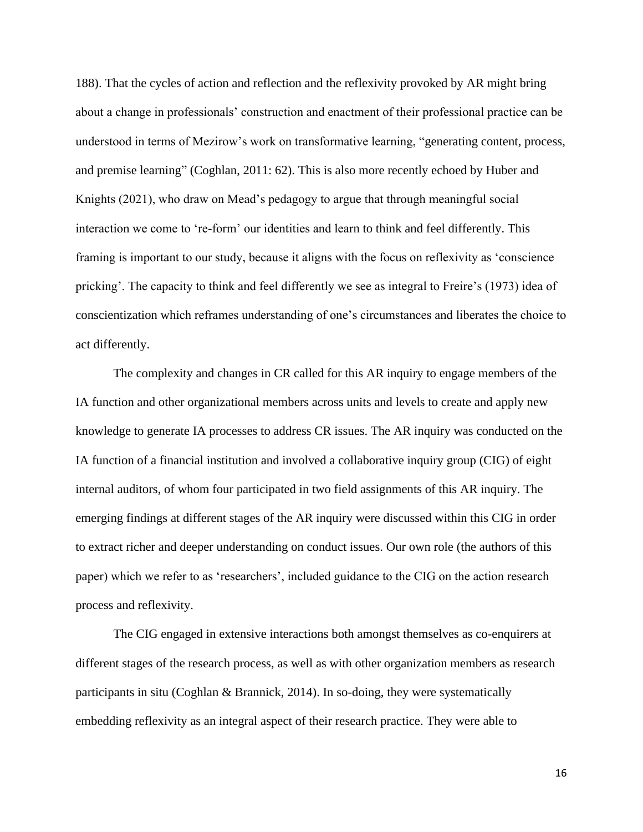188). That the cycles of action and reflection and the reflexivity provoked by AR might bring about a change in professionals' construction and enactment of their professional practice can be understood in terms of Mezirow's work on transformative learning, "generating content, process, and premise learning" (Coghlan, 2011: 62). This is also more recently echoed by Huber and Knights (2021), who draw on Mead's pedagogy to argue that through meaningful social interaction we come to 're-form' our identities and learn to think and feel differently. This framing is important to our study, because it aligns with the focus on reflexivity as 'conscience pricking'. The capacity to think and feel differently we see as integral to Freire's (1973) idea of conscientization which reframes understanding of one's circumstances and liberates the choice to act differently.

The complexity and changes in CR called for this AR inquiry to engage members of the IA function and other organizational members across units and levels to create and apply new knowledge to generate IA processes to address CR issues. The AR inquiry was conducted on the IA function of a financial institution and involved a collaborative inquiry group (CIG) of eight internal auditors, of whom four participated in two field assignments of this AR inquiry. The emerging findings at different stages of the AR inquiry were discussed within this CIG in order to extract richer and deeper understanding on conduct issues. Our own role (the authors of this paper) which we refer to as 'researchers', included guidance to the CIG on the action research process and reflexivity.

The CIG engaged in extensive interactions both amongst themselves as co-enquirers at different stages of the research process, as well as with other organization members as research participants in situ (Coghlan & Brannick, 2014). In so-doing, they were systematically embedding reflexivity as an integral aspect of their research practice. They were able to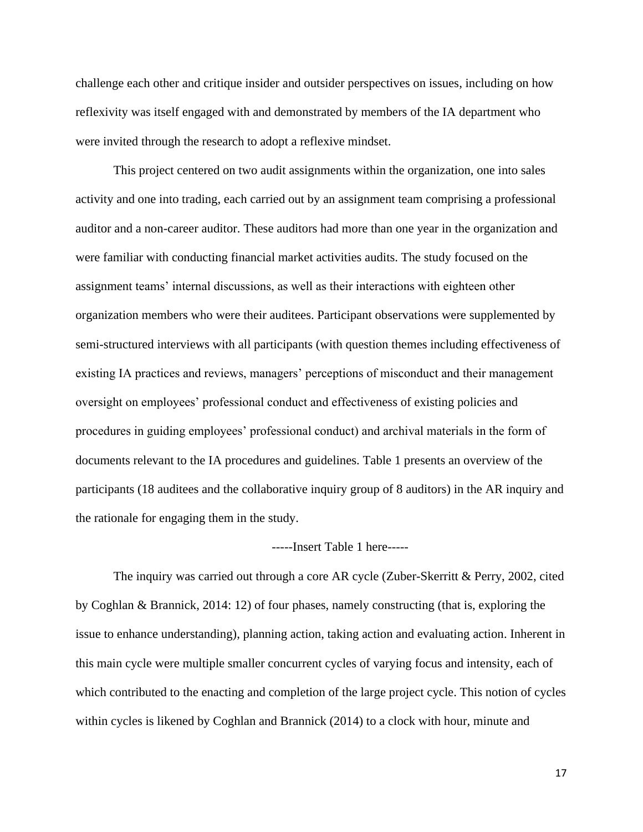challenge each other and critique insider and outsider perspectives on issues, including on how reflexivity was itself engaged with and demonstrated by members of the IA department who were invited through the research to adopt a reflexive mindset.

This project centered on two audit assignments within the organization, one into sales activity and one into trading, each carried out by an assignment team comprising a professional auditor and a non-career auditor. These auditors had more than one year in the organization and were familiar with conducting financial market activities audits. The study focused on the assignment teams' internal discussions, as well as their interactions with eighteen other organization members who were their auditees. Participant observations were supplemented by semi-structured interviews with all participants (with question themes including effectiveness of existing IA practices and reviews, managers' perceptions of misconduct and their management oversight on employees' professional conduct and effectiveness of existing policies and procedures in guiding employees' professional conduct) and archival materials in the form of documents relevant to the IA procedures and guidelines. Table 1 presents an overview of the participants (18 auditees and the collaborative inquiry group of 8 auditors) in the AR inquiry and the rationale for engaging them in the study.

#### -----Insert Table 1 here-----

The inquiry was carried out through a core AR cycle (Zuber-Skerritt & Perry, 2002, cited by Coghlan & Brannick, 2014: 12) of four phases, namely constructing (that is, exploring the issue to enhance understanding), planning action, taking action and evaluating action. Inherent in this main cycle were multiple smaller concurrent cycles of varying focus and intensity, each of which contributed to the enacting and completion of the large project cycle. This notion of cycles within cycles is likened by Coghlan and Brannick (2014) to a clock with hour, minute and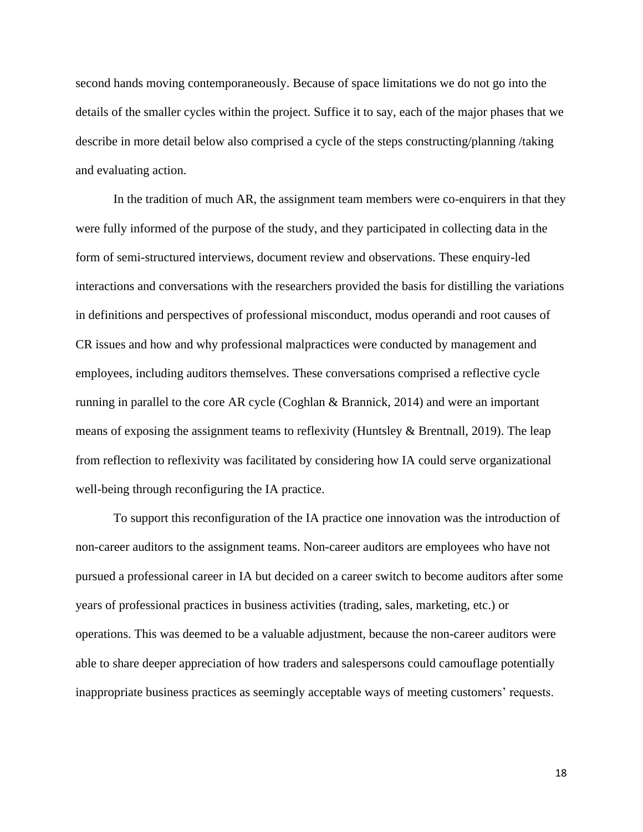second hands moving contemporaneously. Because of space limitations we do not go into the details of the smaller cycles within the project. Suffice it to say, each of the major phases that we describe in more detail below also comprised a cycle of the steps constructing/planning /taking and evaluating action.

In the tradition of much AR, the assignment team members were co-enquirers in that they were fully informed of the purpose of the study, and they participated in collecting data in the form of semi-structured interviews, document review and observations. These enquiry-led interactions and conversations with the researchers provided the basis for distilling the variations in definitions and perspectives of professional misconduct, modus operandi and root causes of CR issues and how and why professional malpractices were conducted by management and employees, including auditors themselves. These conversations comprised a reflective cycle running in parallel to the core AR cycle (Coghlan & Brannick, 2014) and were an important means of exposing the assignment teams to reflexivity (Huntsley & Brentnall, 2019). The leap from reflection to reflexivity was facilitated by considering how IA could serve organizational well-being through reconfiguring the IA practice.

To support this reconfiguration of the IA practice one innovation was the introduction of non-career auditors to the assignment teams. Non-career auditors are employees who have not pursued a professional career in IA but decided on a career switch to become auditors after some years of professional practices in business activities (trading, sales, marketing, etc.) or operations. This was deemed to be a valuable adjustment, because the non-career auditors were able to share deeper appreciation of how traders and salespersons could camouflage potentially inappropriate business practices as seemingly acceptable ways of meeting customers' requests.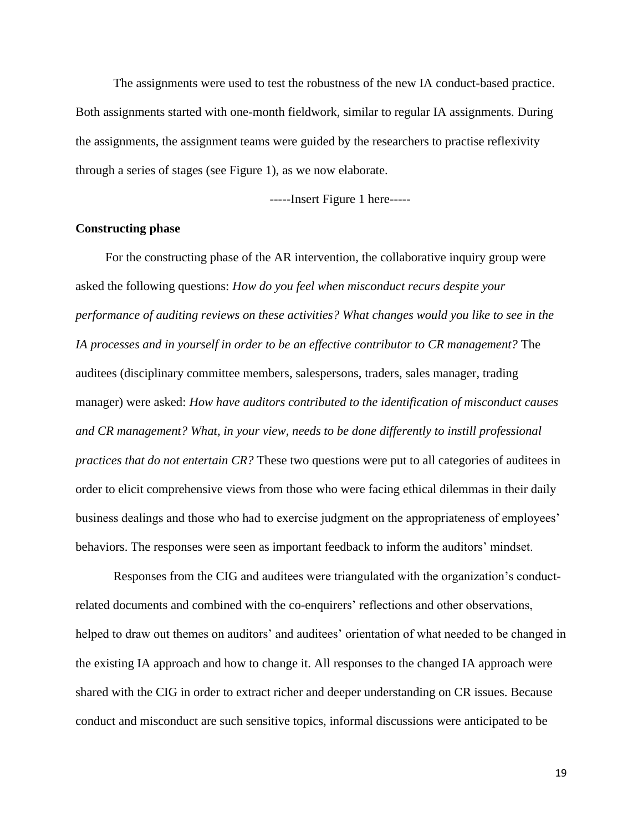The assignments were used to test the robustness of the new IA conduct-based practice. Both assignments started with one-month fieldwork, similar to regular IA assignments. During the assignments, the assignment teams were guided by the researchers to practise reflexivity through a series of stages (see Figure 1), as we now elaborate.

-----Insert Figure 1 here-----

# **Constructing phase**

For the constructing phase of the AR intervention, the collaborative inquiry group were asked the following questions: *How do you feel when misconduct recurs despite your performance of auditing reviews on these activities? What changes would you like to see in the IA processes and in yourself in order to be an effective contributor to CR management?* The auditees (disciplinary committee members, salespersons, traders, sales manager, trading manager) were asked: *How have auditors contributed to the identification of misconduct causes and CR management? What, in your view, needs to be done differently to instill professional practices that do not entertain CR?* These two questions were put to all categories of auditees in order to elicit comprehensive views from those who were facing ethical dilemmas in their daily business dealings and those who had to exercise judgment on the appropriateness of employees' behaviors. The responses were seen as important feedback to inform the auditors' mindset.

Responses from the CIG and auditees were triangulated with the organization's conductrelated documents and combined with the co-enquirers' reflections and other observations, helped to draw out themes on auditors' and auditees' orientation of what needed to be changed in the existing IA approach and how to change it. All responses to the changed IA approach were shared with the CIG in order to extract richer and deeper understanding on CR issues. Because conduct and misconduct are such sensitive topics, informal discussions were anticipated to be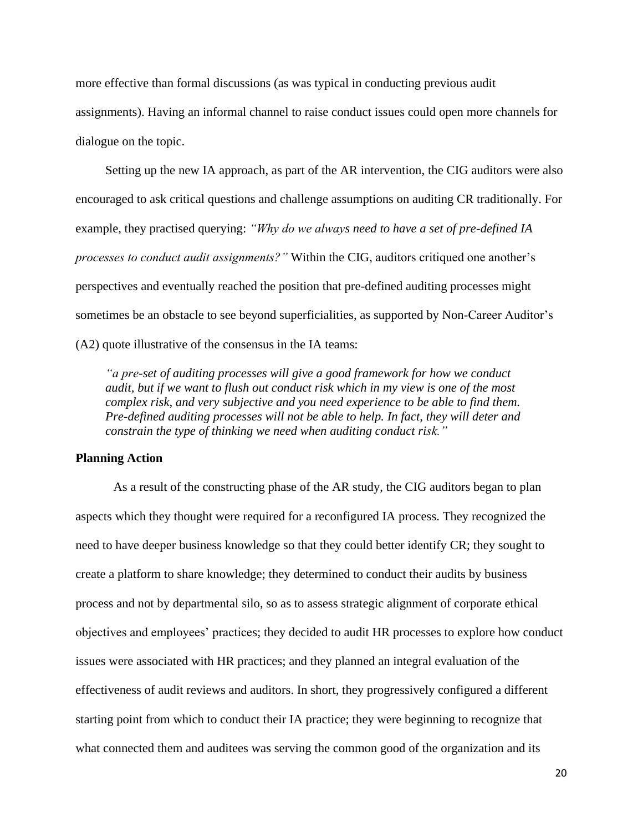more effective than formal discussions (as was typical in conducting previous audit assignments). Having an informal channel to raise conduct issues could open more channels for dialogue on the topic.

Setting up the new IA approach, as part of the AR intervention, the CIG auditors were also encouraged to ask critical questions and challenge assumptions on auditing CR traditionally. For example, they practised querying: *"Why do we always need to have a set of pre-defined IA processes to conduct audit assignments?"* Within the CIG, auditors critiqued one another's perspectives and eventually reached the position that pre-defined auditing processes might sometimes be an obstacle to see beyond superficialities, as supported by Non-Career Auditor's (A2) quote illustrative of the consensus in the IA teams:

*"a pre-set of auditing processes will give a good framework for how we conduct audit, but if we want to flush out conduct risk which in my view is one of the most complex risk, and very subjective and you need experience to be able to find them. Pre-defined auditing processes will not be able to help. In fact, they will deter and constrain the type of thinking we need when auditing conduct risk."*

# **Planning Action**

As a result of the constructing phase of the AR study, the CIG auditors began to plan aspects which they thought were required for a reconfigured IA process. They recognized the need to have deeper business knowledge so that they could better identify CR; they sought to create a platform to share knowledge; they determined to conduct their audits by business process and not by departmental silo, so as to assess strategic alignment of corporate ethical objectives and employees' practices; they decided to audit HR processes to explore how conduct issues were associated with HR practices; and they planned an integral evaluation of the effectiveness of audit reviews and auditors. In short, they progressively configured a different starting point from which to conduct their IA practice; they were beginning to recognize that what connected them and auditees was serving the common good of the organization and its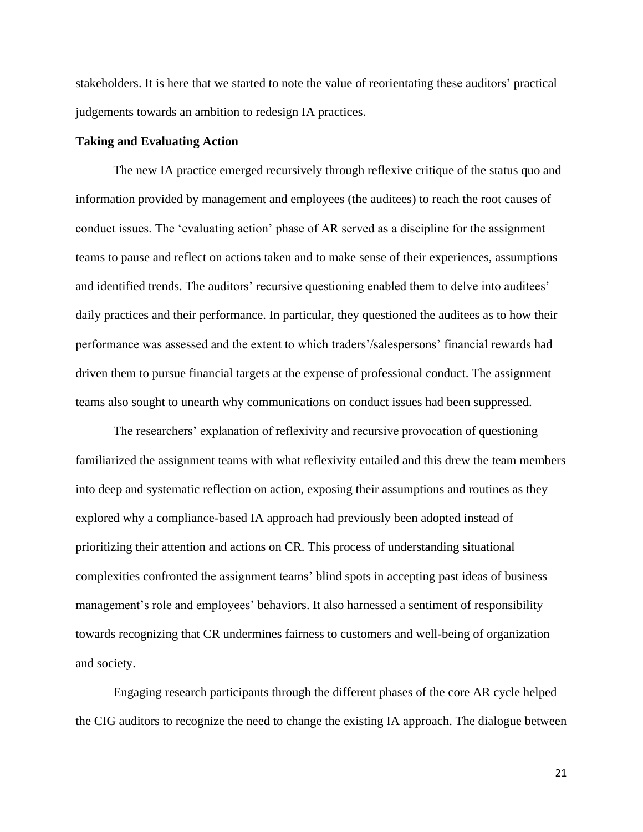stakeholders. It is here that we started to note the value of reorientating these auditors' practical judgements towards an ambition to redesign IA practices.

#### **Taking and Evaluating Action**

The new IA practice emerged recursively through reflexive critique of the status quo and information provided by management and employees (the auditees) to reach the root causes of conduct issues. The 'evaluating action' phase of AR served as a discipline for the assignment teams to pause and reflect on actions taken and to make sense of their experiences, assumptions and identified trends. The auditors' recursive questioning enabled them to delve into auditees' daily practices and their performance. In particular, they questioned the auditees as to how their performance was assessed and the extent to which traders'/salespersons' financial rewards had driven them to pursue financial targets at the expense of professional conduct. The assignment teams also sought to unearth why communications on conduct issues had been suppressed.

The researchers' explanation of reflexivity and recursive provocation of questioning familiarized the assignment teams with what reflexivity entailed and this drew the team members into deep and systematic reflection on action, exposing their assumptions and routines as they explored why a compliance-based IA approach had previously been adopted instead of prioritizing their attention and actions on CR. This process of understanding situational complexities confronted the assignment teams' blind spots in accepting past ideas of business management's role and employees' behaviors. It also harnessed a sentiment of responsibility towards recognizing that CR undermines fairness to customers and well-being of organization and society.

Engaging research participants through the different phases of the core AR cycle helped the CIG auditors to recognize the need to change the existing IA approach. The dialogue between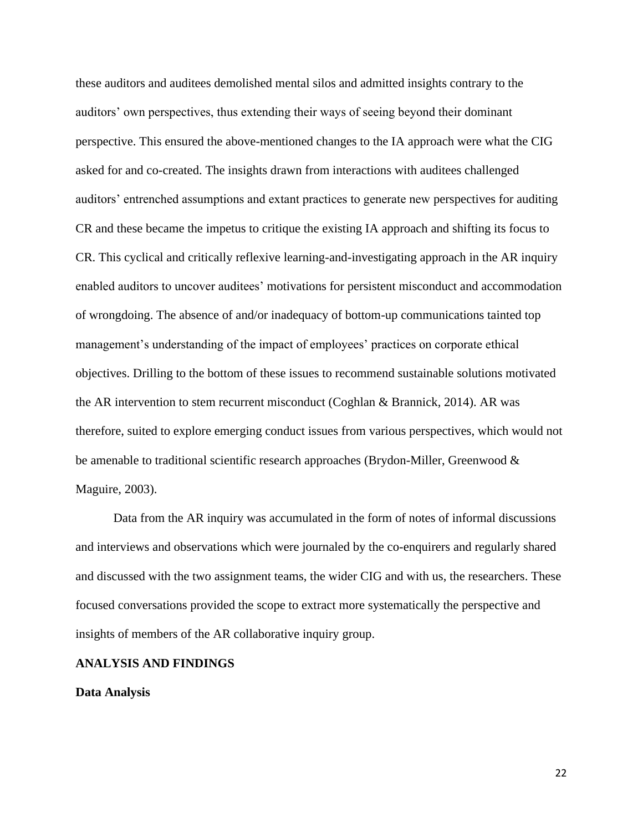these auditors and auditees demolished mental silos and admitted insights contrary to the auditors' own perspectives, thus extending their ways of seeing beyond their dominant perspective. This ensured the above-mentioned changes to the IA approach were what the CIG asked for and co-created. The insights drawn from interactions with auditees challenged auditors' entrenched assumptions and extant practices to generate new perspectives for auditing CR and these became the impetus to critique the existing IA approach and shifting its focus to CR. This cyclical and critically reflexive learning-and-investigating approach in the AR inquiry enabled auditors to uncover auditees' motivations for persistent misconduct and accommodation of wrongdoing. The absence of and/or inadequacy of bottom-up communications tainted top management's understanding of the impact of employees' practices on corporate ethical objectives. Drilling to the bottom of these issues to recommend sustainable solutions motivated the AR intervention to stem recurrent misconduct (Coghlan & Brannick, 2014). AR was therefore, suited to explore emerging conduct issues from various perspectives, which would not be amenable to traditional scientific research approaches (Brydon-Miller, Greenwood & Maguire, 2003).

Data from the AR inquiry was accumulated in the form of notes of informal discussions and interviews and observations which were journaled by the co-enquirers and regularly shared and discussed with the two assignment teams, the wider CIG and with us, the researchers. These focused conversations provided the scope to extract more systematically the perspective and insights of members of the AR collaborative inquiry group.

#### **ANALYSIS AND FINDINGS**

#### **Data Analysis**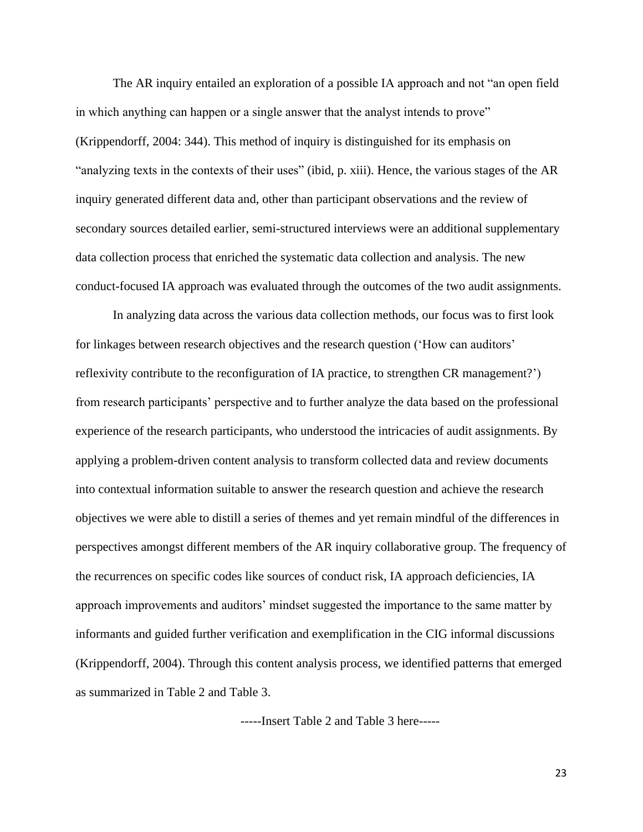The AR inquiry entailed an exploration of a possible IA approach and not "an open field in which anything can happen or a single answer that the analyst intends to prove" (Krippendorff, 2004: 344). This method of inquiry is distinguished for its emphasis on "analyzing texts in the contexts of their uses" (ibid, p. xiii). Hence, the various stages of the AR inquiry generated different data and, other than participant observations and the review of secondary sources detailed earlier, semi-structured interviews were an additional supplementary data collection process that enriched the systematic data collection and analysis. The new conduct-focused IA approach was evaluated through the outcomes of the two audit assignments.

In analyzing data across the various data collection methods, our focus was to first look for linkages between research objectives and the research question ('How can auditors' reflexivity contribute to the reconfiguration of IA practice, to strengthen CR management?') from research participants' perspective and to further analyze the data based on the professional experience of the research participants, who understood the intricacies of audit assignments. By applying a problem-driven content analysis to transform collected data and review documents into contextual information suitable to answer the research question and achieve the research objectives we were able to distill a series of themes and yet remain mindful of the differences in perspectives amongst different members of the AR inquiry collaborative group. The frequency of the recurrences on specific codes like sources of conduct risk, IA approach deficiencies, IA approach improvements and auditors' mindset suggested the importance to the same matter by informants and guided further verification and exemplification in the CIG informal discussions (Krippendorff, 2004). Through this content analysis process, we identified patterns that emerged as summarized in Table 2 and Table 3.

-----Insert Table 2 and Table 3 here-----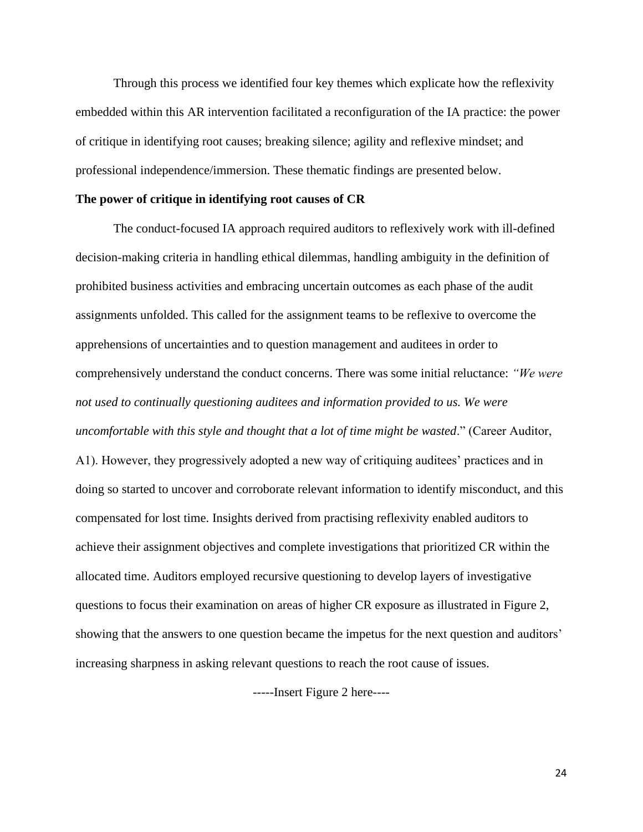Through this process we identified four key themes which explicate how the reflexivity embedded within this AR intervention facilitated a reconfiguration of the IA practice: the power of critique in identifying root causes; breaking silence; agility and reflexive mindset; and professional independence/immersion. These thematic findings are presented below.

#### **The power of critique in identifying root causes of CR**

The conduct-focused IA approach required auditors to reflexively work with ill-defined decision-making criteria in handling ethical dilemmas, handling ambiguity in the definition of prohibited business activities and embracing uncertain outcomes as each phase of the audit assignments unfolded. This called for the assignment teams to be reflexive to overcome the apprehensions of uncertainties and to question management and auditees in order to comprehensively understand the conduct concerns. There was some initial reluctance: *"We were not used to continually questioning auditees and information provided to us. We were uncomfortable with this style and thought that a lot of time might be wasted*." (Career Auditor, A1). However, they progressively adopted a new way of critiquing auditees' practices and in doing so started to uncover and corroborate relevant information to identify misconduct, and this compensated for lost time. Insights derived from practising reflexivity enabled auditors to achieve their assignment objectives and complete investigations that prioritized CR within the allocated time. Auditors employed recursive questioning to develop layers of investigative questions to focus their examination on areas of higher CR exposure as illustrated in Figure 2, showing that the answers to one question became the impetus for the next question and auditors' increasing sharpness in asking relevant questions to reach the root cause of issues.

-----Insert Figure 2 here----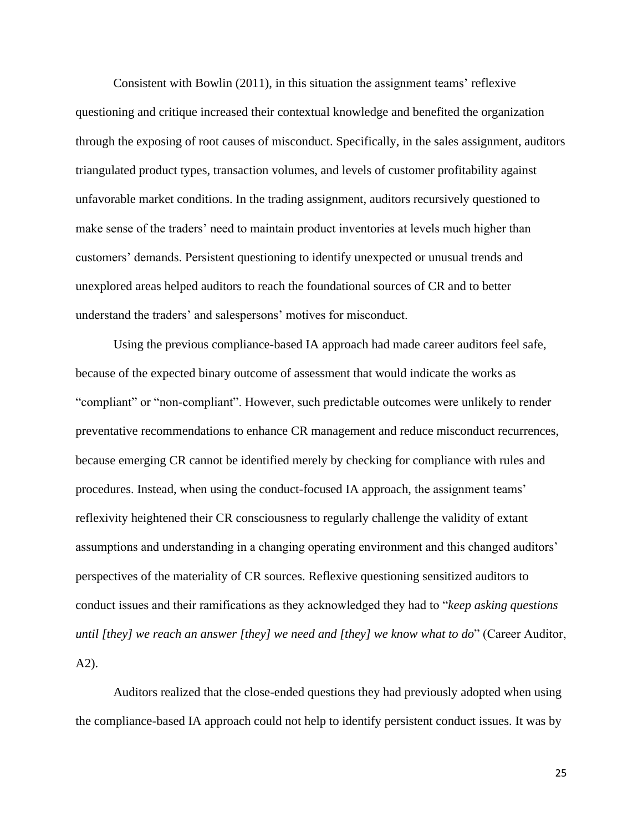Consistent with Bowlin (2011), in this situation the assignment teams' reflexive questioning and critique increased their contextual knowledge and benefited the organization through the exposing of root causes of misconduct. Specifically, in the sales assignment, auditors triangulated product types, transaction volumes, and levels of customer profitability against unfavorable market conditions. In the trading assignment, auditors recursively questioned to make sense of the traders' need to maintain product inventories at levels much higher than customers' demands. Persistent questioning to identify unexpected or unusual trends and unexplored areas helped auditors to reach the foundational sources of CR and to better understand the traders' and salespersons' motives for misconduct.

Using the previous compliance-based IA approach had made career auditors feel safe, because of the expected binary outcome of assessment that would indicate the works as "compliant" or "non-compliant". However, such predictable outcomes were unlikely to render preventative recommendations to enhance CR management and reduce misconduct recurrences, because emerging CR cannot be identified merely by checking for compliance with rules and procedures. Instead, when using the conduct-focused IA approach, the assignment teams' reflexivity heightened their CR consciousness to regularly challenge the validity of extant assumptions and understanding in a changing operating environment and this changed auditors' perspectives of the materiality of CR sources. Reflexive questioning sensitized auditors to conduct issues and their ramifications as they acknowledged they had to "*keep asking questions until [they] we reach an answer [they] we need and [they] we know what to do*" (Career Auditor, A2).

Auditors realized that the close-ended questions they had previously adopted when using the compliance-based IA approach could not help to identify persistent conduct issues. It was by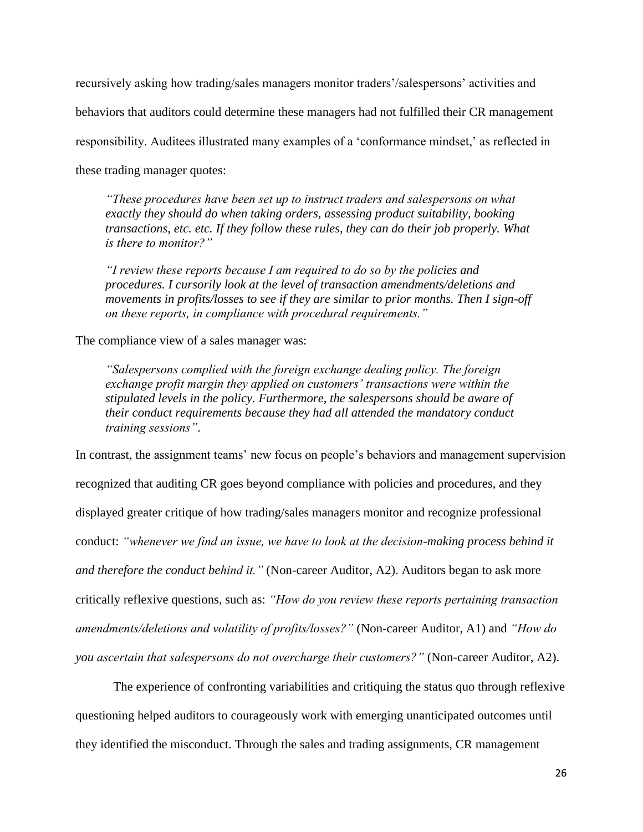recursively asking how trading/sales managers monitor traders'/salespersons' activities and behaviors that auditors could determine these managers had not fulfilled their CR management responsibility. Auditees illustrated many examples of a 'conformance mindset,' as reflected in these trading manager quotes:

*"These procedures have been set up to instruct traders and salespersons on what exactly they should do when taking orders, assessing product suitability, booking transactions, etc. etc. If they follow these rules, they can do their job properly. What is there to monitor?"*

*"I review these reports because I am required to do so by the policies and procedures. I cursorily look at the level of transaction amendments/deletions and movements in profits/losses to see if they are similar to prior months. Then I sign-off on these reports, in compliance with procedural requirements."*

The compliance view of a sales manager was:

*"Salespersons complied with the foreign exchange dealing policy. The foreign exchange profit margin they applied on customers' transactions were within the stipulated levels in the policy. Furthermore, the salespersons should be aware of their conduct requirements because they had all attended the mandatory conduct training sessions"*.

In contrast, the assignment teams' new focus on people's behaviors and management supervision recognized that auditing CR goes beyond compliance with policies and procedures, and they displayed greater critique of how trading/sales managers monitor and recognize professional conduct: *"whenever we find an issue, we have to look at the decision-making process behind it and therefore the conduct behind it."* (Non-career Auditor, A2). Auditors began to ask more critically reflexive questions, such as: *"How do you review these reports pertaining transaction amendments/deletions and volatility of profits/losses?"* (Non-career Auditor, A1) and *"How do you ascertain that salespersons do not overcharge their customers?"* (Non-career Auditor, A2).

The experience of confronting variabilities and critiquing the status quo through reflexive questioning helped auditors to courageously work with emerging unanticipated outcomes until they identified the misconduct. Through the sales and trading assignments, CR management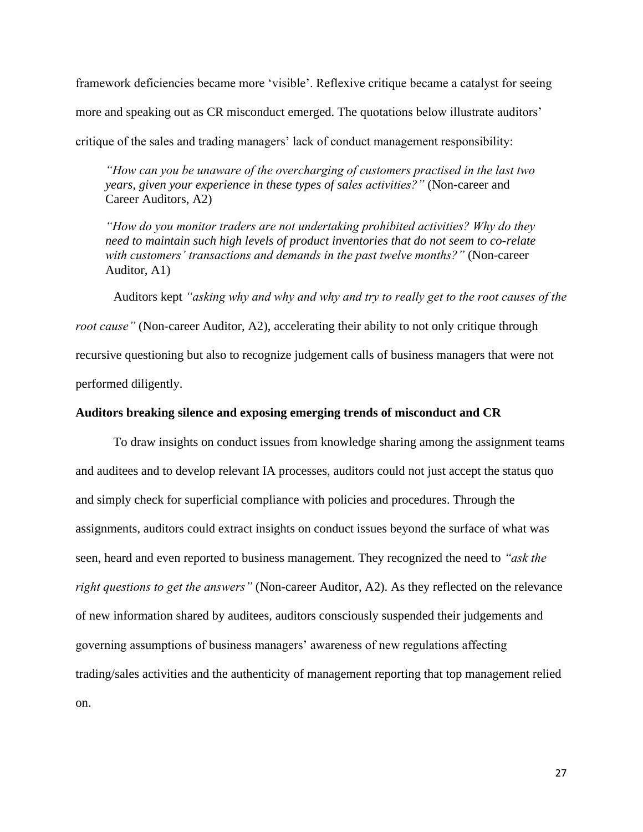framework deficiencies became more 'visible'. Reflexive critique became a catalyst for seeing more and speaking out as CR misconduct emerged. The quotations below illustrate auditors' critique of the sales and trading managers' lack of conduct management responsibility:

*"How can you be unaware of the overcharging of customers practised in the last two years, given your experience in these types of sales activities?"* (Non-career and Career Auditors, A2)

*"How do you monitor traders are not undertaking prohibited activities? Why do they need to maintain such high levels of product inventories that do not seem to co-relate with customers' transactions and demands in the past twelve months?"* (Non-career Auditor, A1)

Auditors kept *"asking why and why and why and try to really get to the root causes of the root cause*" (Non-career Auditor, A2), accelerating their ability to not only critique through recursive questioning but also to recognize judgement calls of business managers that were not performed diligently.

## **Auditors breaking silence and exposing emerging trends of misconduct and CR**

To draw insights on conduct issues from knowledge sharing among the assignment teams and auditees and to develop relevant IA processes, auditors could not just accept the status quo and simply check for superficial compliance with policies and procedures. Through the assignments, auditors could extract insights on conduct issues beyond the surface of what was seen, heard and even reported to business management. They recognized the need to *"ask the right questions to get the answers"* (Non-career Auditor, A2). As they reflected on the relevance of new information shared by auditees, auditors consciously suspended their judgements and governing assumptions of business managers' awareness of new regulations affecting trading/sales activities and the authenticity of management reporting that top management relied on.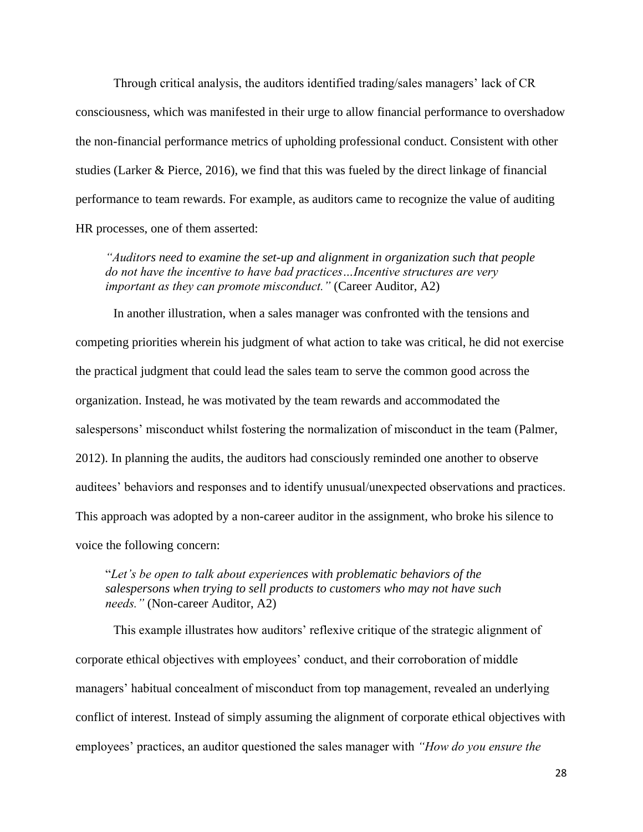Through critical analysis, the auditors identified trading/sales managers' lack of CR consciousness, which was manifested in their urge to allow financial performance to overshadow the non-financial performance metrics of upholding professional conduct. Consistent with other studies (Larker & Pierce, 2016), we find that this was fueled by the direct linkage of financial performance to team rewards. For example, as auditors came to recognize the value of auditing HR processes, one of them asserted:

*"Auditors need to examine the set-up and alignment in organization such that people do not have the incentive to have bad practices…Incentive structures are very important as they can promote misconduct."* (Career Auditor, A2)

In another illustration, when a sales manager was confronted with the tensions and competing priorities wherein his judgment of what action to take was critical, he did not exercise the practical judgment that could lead the sales team to serve the common good across the organization. Instead, he was motivated by the team rewards and accommodated the salespersons' misconduct whilst fostering the normalization of misconduct in the team (Palmer, 2012). In planning the audits, the auditors had consciously reminded one another to observe auditees' behaviors and responses and to identify unusual/unexpected observations and practices. This approach was adopted by a non-career auditor in the assignment, who broke his silence to voice the following concern:

"*Let's be open to talk about experiences with problematic behaviors of the salespersons when trying to sell products to customers who may not have such needs."* (Non-career Auditor, A2)

This example illustrates how auditors' reflexive critique of the strategic alignment of corporate ethical objectives with employees' conduct, and their corroboration of middle managers' habitual concealment of misconduct from top management, revealed an underlying conflict of interest. Instead of simply assuming the alignment of corporate ethical objectives with employees' practices, an auditor questioned the sales manager with *"How do you ensure the*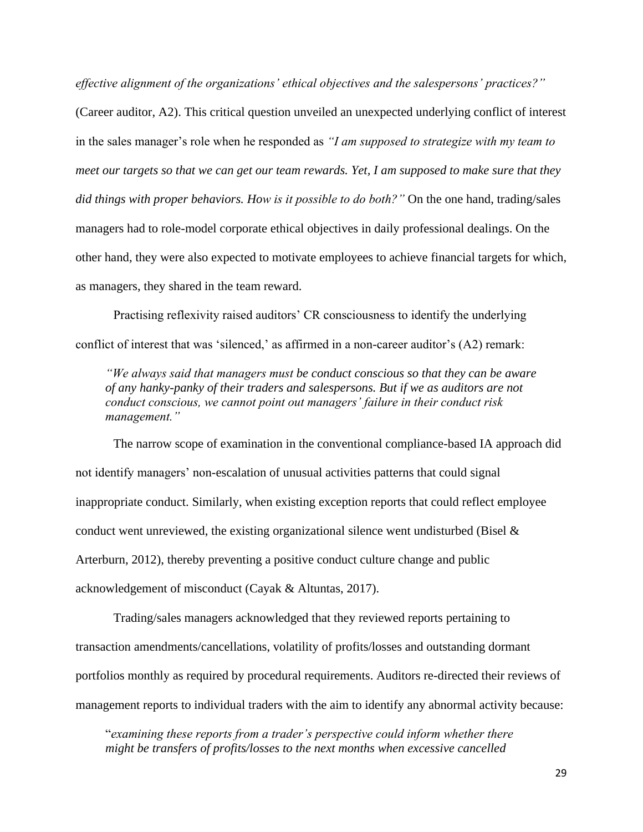*effective alignment of the organizations' ethical objectives and the salespersons' practices?"*

(Career auditor, A2). This critical question unveiled an unexpected underlying conflict of interest in the sales manager's role when he responded as *"I am supposed to strategize with my team to meet our targets so that we can get our team rewards. Yet, I am supposed to make sure that they did things with proper behaviors. How is it possible to do both?"* On the one hand, trading/sales managers had to role-model corporate ethical objectives in daily professional dealings. On the other hand, they were also expected to motivate employees to achieve financial targets for which, as managers, they shared in the team reward.

Practising reflexivity raised auditors' CR consciousness to identify the underlying conflict of interest that was 'silenced,' as affirmed in a non-career auditor's (A2) remark:

*"We always said that managers must be conduct conscious so that they can be aware of any hanky-panky of their traders and salespersons. But if we as auditors are not conduct conscious, we cannot point out managers' failure in their conduct risk management."*

The narrow scope of examination in the conventional compliance-based IA approach did not identify managers' non-escalation of unusual activities patterns that could signal inappropriate conduct. Similarly, when existing exception reports that could reflect employee conduct went unreviewed, the existing organizational silence went undisturbed (Bisel & Arterburn, 2012), thereby preventing a positive conduct culture change and public acknowledgement of misconduct (Cayak & Altuntas, 2017).

Trading/sales managers acknowledged that they reviewed reports pertaining to transaction amendments/cancellations, volatility of profits/losses and outstanding dormant portfolios monthly as required by procedural requirements. Auditors re-directed their reviews of management reports to individual traders with the aim to identify any abnormal activity because:

"*examining these reports from a trader's perspective could inform whether there might be transfers of profits/losses to the next months when excessive cancelled*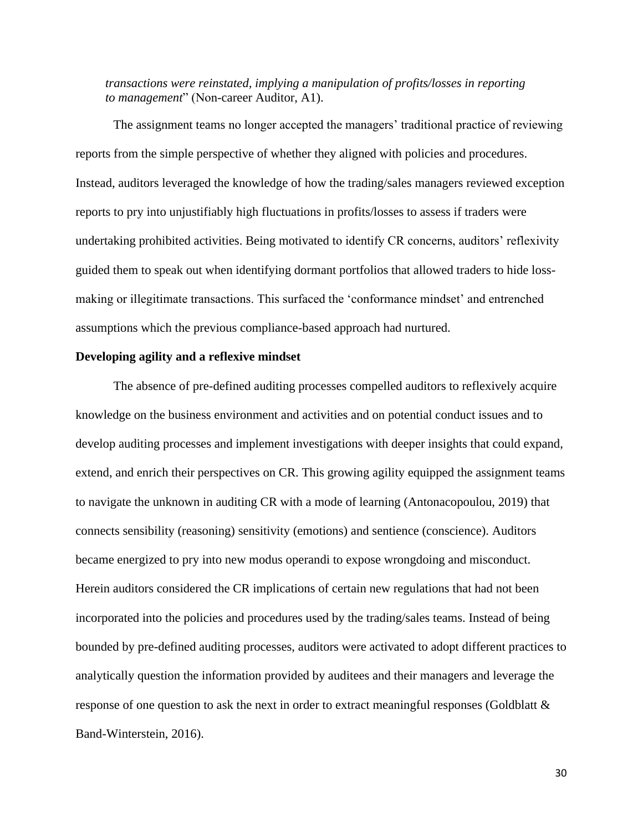*transactions were reinstated, implying a manipulation of profits/losses in reporting to management*" (Non-career Auditor, A1).

The assignment teams no longer accepted the managers' traditional practice of reviewing reports from the simple perspective of whether they aligned with policies and procedures. Instead, auditors leveraged the knowledge of how the trading/sales managers reviewed exception reports to pry into unjustifiably high fluctuations in profits/losses to assess if traders were undertaking prohibited activities. Being motivated to identify CR concerns, auditors' reflexivity guided them to speak out when identifying dormant portfolios that allowed traders to hide lossmaking or illegitimate transactions. This surfaced the 'conformance mindset' and entrenched assumptions which the previous compliance-based approach had nurtured.

#### **Developing agility and a reflexive mindset**

The absence of pre-defined auditing processes compelled auditors to reflexively acquire knowledge on the business environment and activities and on potential conduct issues and to develop auditing processes and implement investigations with deeper insights that could expand, extend, and enrich their perspectives on CR. This growing agility equipped the assignment teams to navigate the unknown in auditing CR with a mode of learning (Antonacopoulou, 2019) that connects sensibility (reasoning) sensitivity (emotions) and sentience (conscience). Auditors became energized to pry into new modus operandi to expose wrongdoing and misconduct. Herein auditors considered the CR implications of certain new regulations that had not been incorporated into the policies and procedures used by the trading/sales teams. Instead of being bounded by pre-defined auditing processes, auditors were activated to adopt different practices to analytically question the information provided by auditees and their managers and leverage the response of one question to ask the next in order to extract meaningful responses (Goldblatt & Band-Winterstein, 2016).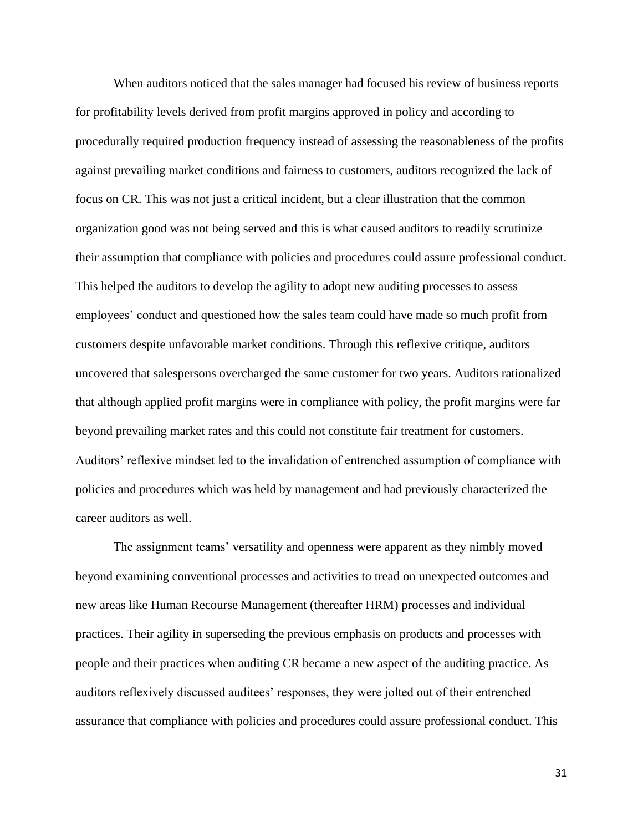When auditors noticed that the sales manager had focused his review of business reports for profitability levels derived from profit margins approved in policy and according to procedurally required production frequency instead of assessing the reasonableness of the profits against prevailing market conditions and fairness to customers, auditors recognized the lack of focus on CR. This was not just a critical incident, but a clear illustration that the common organization good was not being served and this is what caused auditors to readily scrutinize their assumption that compliance with policies and procedures could assure professional conduct. This helped the auditors to develop the agility to adopt new auditing processes to assess employees' conduct and questioned how the sales team could have made so much profit from customers despite unfavorable market conditions. Through this reflexive critique, auditors uncovered that salespersons overcharged the same customer for two years. Auditors rationalized that although applied profit margins were in compliance with policy, the profit margins were far beyond prevailing market rates and this could not constitute fair treatment for customers. Auditors' reflexive mindset led to the invalidation of entrenched assumption of compliance with policies and procedures which was held by management and had previously characterized the career auditors as well.

The assignment teams' versatility and openness were apparent as they nimbly moved beyond examining conventional processes and activities to tread on unexpected outcomes and new areas like Human Recourse Management (thereafter HRM) processes and individual practices. Their agility in superseding the previous emphasis on products and processes with people and their practices when auditing CR became a new aspect of the auditing practice. As auditors reflexively discussed auditees' responses, they were jolted out of their entrenched assurance that compliance with policies and procedures could assure professional conduct. This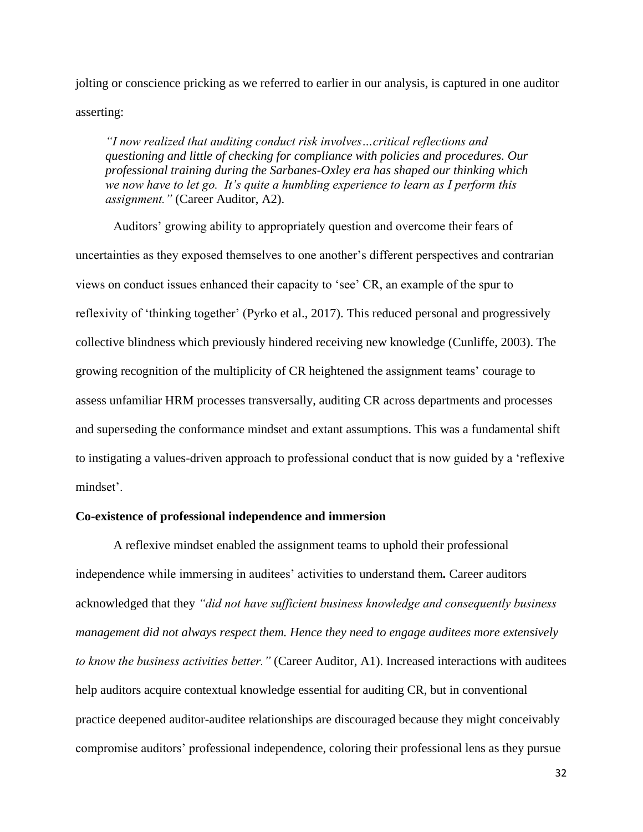jolting or conscience pricking as we referred to earlier in our analysis, is captured in one auditor asserting:

*"I now realized that auditing conduct risk involves…critical reflections and questioning and little of checking for compliance with policies and procedures. Our professional training during the Sarbanes-Oxley era has shaped our thinking which we now have to let go. It's quite a humbling experience to learn as I perform this assignment."* (Career Auditor, A2).

Auditors' growing ability to appropriately question and overcome their fears of uncertainties as they exposed themselves to one another's different perspectives and contrarian views on conduct issues enhanced their capacity to 'see' CR, an example of the spur to reflexivity of 'thinking together' (Pyrko et al., 2017). This reduced personal and progressively collective blindness which previously hindered receiving new knowledge (Cunliffe, 2003). The growing recognition of the multiplicity of CR heightened the assignment teams' courage to assess unfamiliar HRM processes transversally, auditing CR across departments and processes and superseding the conformance mindset and extant assumptions. This was a fundamental shift to instigating a values-driven approach to professional conduct that is now guided by a 'reflexive mindset'.

## **Co-existence of professional independence and immersion**

A reflexive mindset enabled the assignment teams to uphold their professional independence while immersing in auditees' activities to understand them*.* Career auditors acknowledged that they *"did not have sufficient business knowledge and consequently business management did not always respect them. Hence they need to engage auditees more extensively to know the business activities better."* (Career Auditor, A1). Increased interactions with auditees help auditors acquire contextual knowledge essential for auditing CR, but in conventional practice deepened auditor-auditee relationships are discouraged because they might conceivably compromise auditors' professional independence, coloring their professional lens as they pursue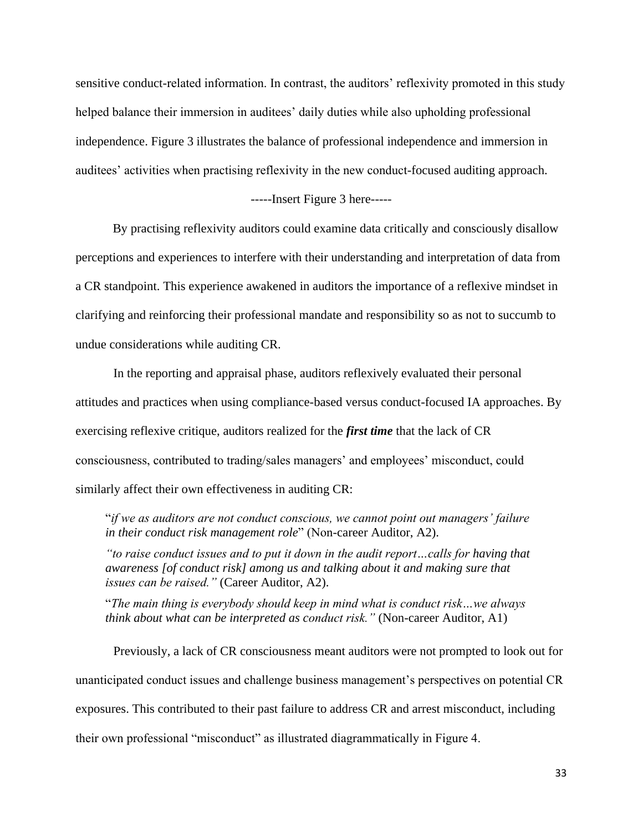sensitive conduct-related information. In contrast, the auditors' reflexivity promoted in this study helped balance their immersion in auditees' daily duties while also upholding professional independence. Figure 3 illustrates the balance of professional independence and immersion in auditees' activities when practising reflexivity in the new conduct-focused auditing approach.

#### -----Insert Figure 3 here-----

By practising reflexivity auditors could examine data critically and consciously disallow perceptions and experiences to interfere with their understanding and interpretation of data from a CR standpoint. This experience awakened in auditors the importance of a reflexive mindset in clarifying and reinforcing their professional mandate and responsibility so as not to succumb to undue considerations while auditing CR.

In the reporting and appraisal phase, auditors reflexively evaluated their personal attitudes and practices when using compliance-based versus conduct-focused IA approaches. By exercising reflexive critique, auditors realized for the *first time* that the lack of CR consciousness, contributed to trading/sales managers' and employees' misconduct, could similarly affect their own effectiveness in auditing CR:

"*if we as auditors are not conduct conscious, we cannot point out managers' failure in their conduct risk management role*" (Non-career Auditor, A2).

*"to raise conduct issues and to put it down in the audit report…calls for having that awareness [of conduct risk] among us and talking about it and making sure that issues can be raised."* (Career Auditor, A2).

"*The main thing is everybody should keep in mind what is conduct risk…we always think about what can be interpreted as conduct risk.*" (Non-career Auditor, A1)

Previously, a lack of CR consciousness meant auditors were not prompted to look out for unanticipated conduct issues and challenge business management's perspectives on potential CR exposures. This contributed to their past failure to address CR and arrest misconduct, including their own professional "misconduct" as illustrated diagrammatically in Figure 4.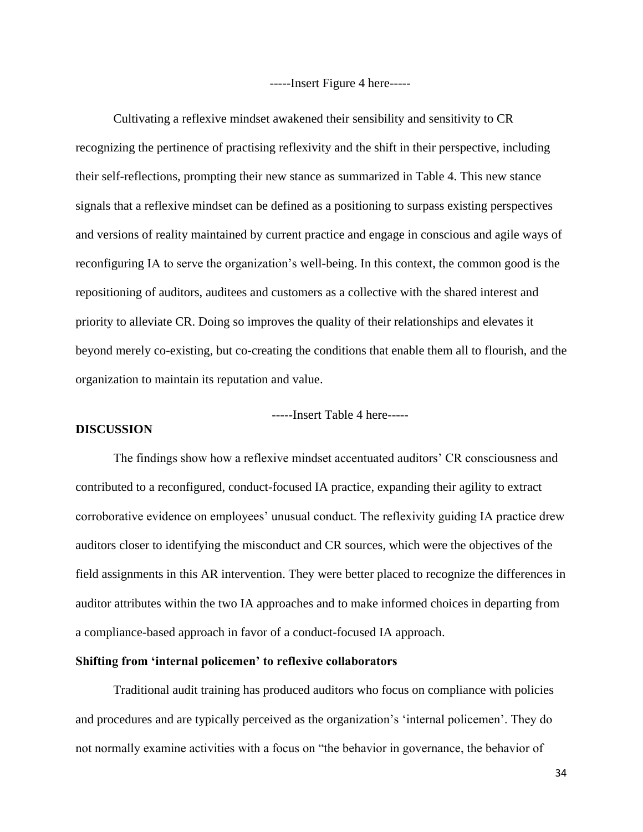-----Insert Figure 4 here-----

Cultivating a reflexive mindset awakened their sensibility and sensitivity to CR recognizing the pertinence of practising reflexivity and the shift in their perspective, including their self-reflections, prompting their new stance as summarized in Table 4. This new stance signals that a reflexive mindset can be defined as a positioning to surpass existing perspectives and versions of reality maintained by current practice and engage in conscious and agile ways of reconfiguring IA to serve the organization's well-being. In this context, the common good is the repositioning of auditors, auditees and customers as a collective with the shared interest and priority to alleviate CR. Doing so improves the quality of their relationships and elevates it beyond merely co-existing, but co-creating the conditions that enable them all to flourish, and the organization to maintain its reputation and value.

-----Insert Table 4 here-----

# **DISCUSSION**

The findings show how a reflexive mindset accentuated auditors' CR consciousness and contributed to a reconfigured, conduct-focused IA practice, expanding their agility to extract corroborative evidence on employees' unusual conduct. The reflexivity guiding IA practice drew auditors closer to identifying the misconduct and CR sources, which were the objectives of the field assignments in this AR intervention. They were better placed to recognize the differences in auditor attributes within the two IA approaches and to make informed choices in departing from a compliance-based approach in favor of a conduct-focused IA approach.

## **Shifting from 'internal policemen' to reflexive collaborators**

Traditional audit training has produced auditors who focus on compliance with policies and procedures and are typically perceived as the organization's 'internal policemen'. They do not normally examine activities with a focus on "the behavior in governance, the behavior of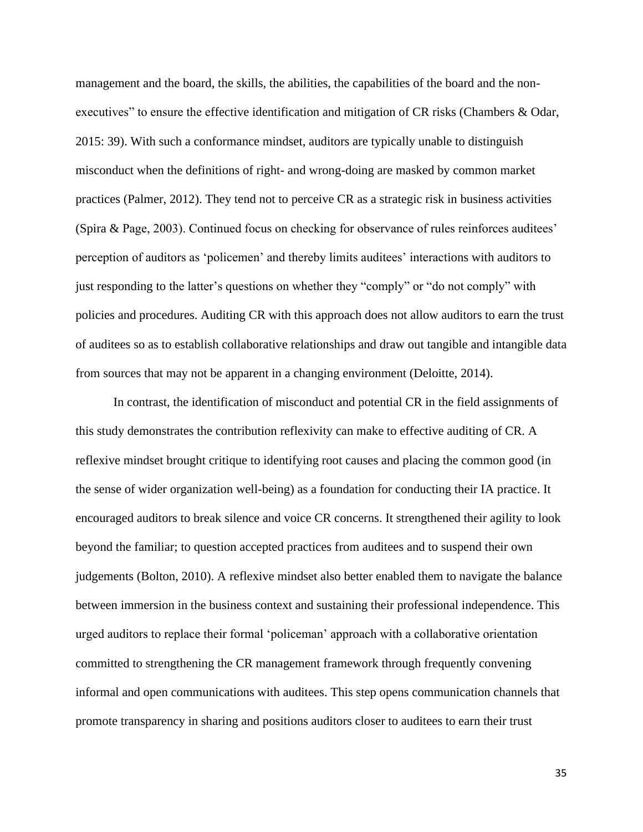management and the board, the skills, the abilities, the capabilities of the board and the nonexecutives" to ensure the effective identification and mitigation of CR risks (Chambers & Odar, 2015: 39). With such a conformance mindset, auditors are typically unable to distinguish misconduct when the definitions of right- and wrong-doing are masked by common market practices (Palmer, 2012). They tend not to perceive CR as a strategic risk in business activities (Spira & Page, 2003). Continued focus on checking for observance of rules reinforces auditees' perception of auditors as 'policemen' and thereby limits auditees' interactions with auditors to just responding to the latter's questions on whether they "comply" or "do not comply" with policies and procedures. Auditing CR with this approach does not allow auditors to earn the trust of auditees so as to establish collaborative relationships and draw out tangible and intangible data from sources that may not be apparent in a changing environment (Deloitte, 2014).

In contrast, the identification of misconduct and potential CR in the field assignments of this study demonstrates the contribution reflexivity can make to effective auditing of CR. A reflexive mindset brought critique to identifying root causes and placing the common good (in the sense of wider organization well-being) as a foundation for conducting their IA practice. It encouraged auditors to break silence and voice CR concerns. It strengthened their agility to look beyond the familiar; to question accepted practices from auditees and to suspend their own judgements (Bolton, 2010). A reflexive mindset also better enabled them to navigate the balance between immersion in the business context and sustaining their professional independence. This urged auditors to replace their formal 'policeman' approach with a collaborative orientation committed to strengthening the CR management framework through frequently convening informal and open communications with auditees. This step opens communication channels that promote transparency in sharing and positions auditors closer to auditees to earn their trust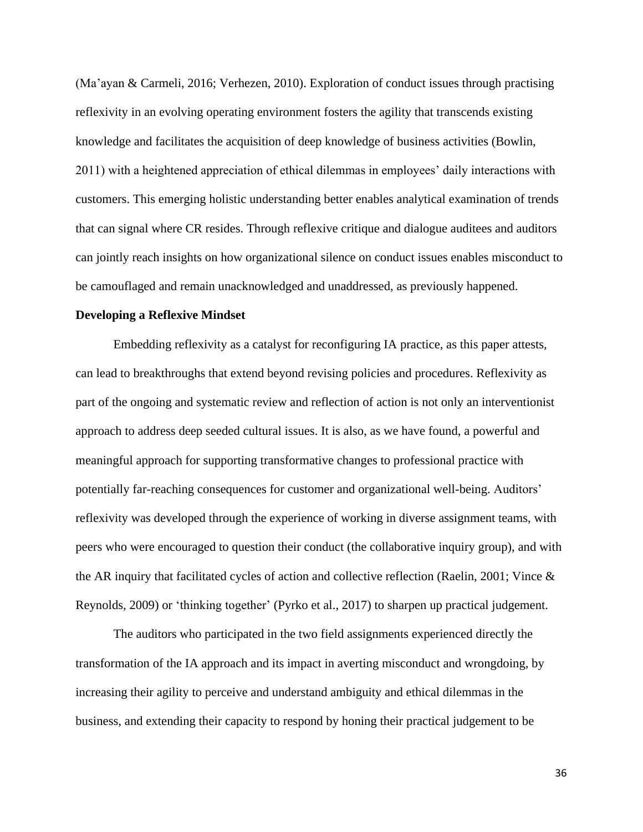(Ma'ayan & Carmeli, 2016; Verhezen, 2010). Exploration of conduct issues through practising reflexivity in an evolving operating environment fosters the agility that transcends existing knowledge and facilitates the acquisition of deep knowledge of business activities (Bowlin, 2011) with a heightened appreciation of ethical dilemmas in employees' daily interactions with customers. This emerging holistic understanding better enables analytical examination of trends that can signal where CR resides. Through reflexive critique and dialogue auditees and auditors can jointly reach insights on how organizational silence on conduct issues enables misconduct to be camouflaged and remain unacknowledged and unaddressed, as previously happened.

#### **Developing a Reflexive Mindset**

Embedding reflexivity as a catalyst for reconfiguring IA practice, as this paper attests, can lead to breakthroughs that extend beyond revising policies and procedures. Reflexivity as part of the ongoing and systematic review and reflection of action is not only an interventionist approach to address deep seeded cultural issues. It is also, as we have found, a powerful and meaningful approach for supporting transformative changes to professional practice with potentially far-reaching consequences for customer and organizational well-being. Auditors' reflexivity was developed through the experience of working in diverse assignment teams, with peers who were encouraged to question their conduct (the collaborative inquiry group), and with the AR inquiry that facilitated cycles of action and collective reflection (Raelin, 2001; Vince & Reynolds, 2009) or 'thinking together' (Pyrko et al., 2017) to sharpen up practical judgement.

The auditors who participated in the two field assignments experienced directly the transformation of the IA approach and its impact in averting misconduct and wrongdoing, by increasing their agility to perceive and understand ambiguity and ethical dilemmas in the business, and extending their capacity to respond by honing their practical judgement to be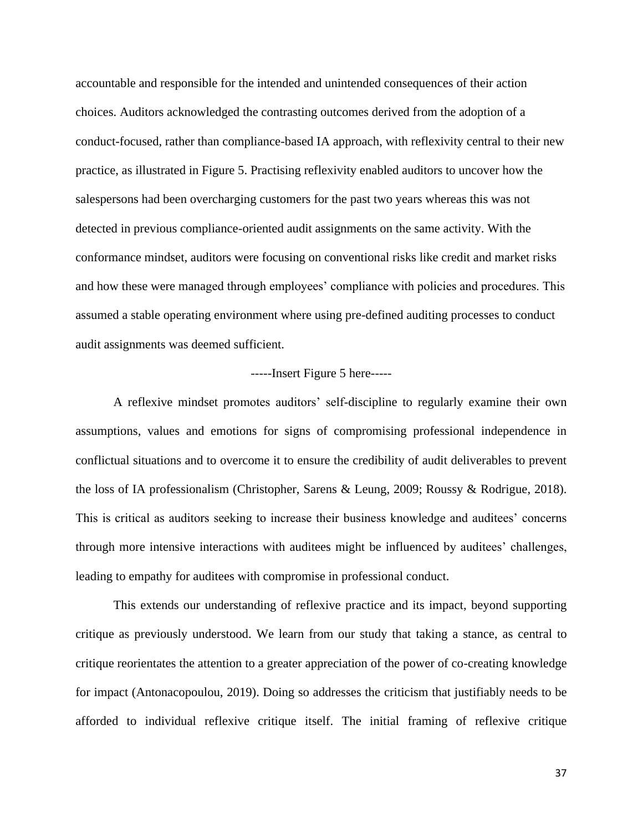accountable and responsible for the intended and unintended consequences of their action choices. Auditors acknowledged the contrasting outcomes derived from the adoption of a conduct-focused, rather than compliance-based IA approach, with reflexivity central to their new practice, as illustrated in Figure 5. Practising reflexivity enabled auditors to uncover how the salespersons had been overcharging customers for the past two years whereas this was not detected in previous compliance-oriented audit assignments on the same activity. With the conformance mindset, auditors were focusing on conventional risks like credit and market risks and how these were managed through employees' compliance with policies and procedures. This assumed a stable operating environment where using pre-defined auditing processes to conduct audit assignments was deemed sufficient.

#### -----Insert Figure 5 here-----

A reflexive mindset promotes auditors' self-discipline to regularly examine their own assumptions, values and emotions for signs of compromising professional independence in conflictual situations and to overcome it to ensure the credibility of audit deliverables to prevent the loss of IA professionalism (Christopher, Sarens & Leung, 2009; Roussy & Rodrigue, 2018). This is critical as auditors seeking to increase their business knowledge and auditees' concerns through more intensive interactions with auditees might be influenced by auditees' challenges, leading to empathy for auditees with compromise in professional conduct.

This extends our understanding of reflexive practice and its impact, beyond supporting critique as previously understood. We learn from our study that taking a stance, as central to critique reorientates the attention to a greater appreciation of the power of co-creating knowledge for impact (Antonacopoulou, 2019). Doing so addresses the criticism that justifiably needs to be afforded to individual reflexive critique itself. The initial framing of reflexive critique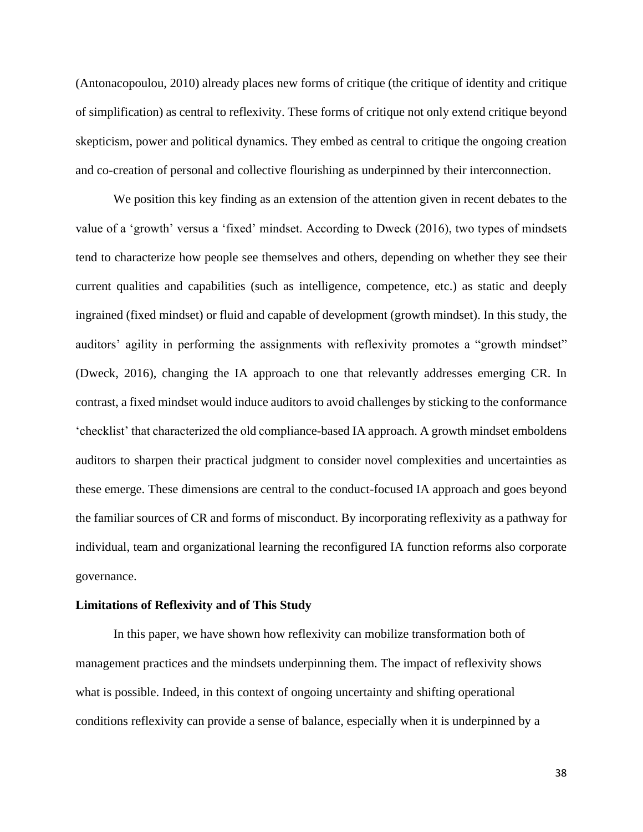(Antonacopoulou, 2010) already places new forms of critique (the critique of identity and critique of simplification) as central to reflexivity. These forms of critique not only extend critique beyond skepticism, power and political dynamics. They embed as central to critique the ongoing creation and co-creation of personal and collective flourishing as underpinned by their interconnection.

We position this key finding as an extension of the attention given in recent debates to the value of a 'growth' versus a 'fixed' mindset. According to Dweck (2016), two types of mindsets tend to characterize how people see themselves and others, depending on whether they see their current qualities and capabilities (such as intelligence, competence, etc.) as static and deeply ingrained (fixed mindset) or fluid and capable of development (growth mindset). In this study, the auditors' agility in performing the assignments with reflexivity promotes a "growth mindset" (Dweck, 2016), changing the IA approach to one that relevantly addresses emerging CR. In contrast, a fixed mindset would induce auditors to avoid challenges by sticking to the conformance 'checklist' that characterized the old compliance-based IA approach. A growth mindset emboldens auditors to sharpen their practical judgment to consider novel complexities and uncertainties as these emerge. These dimensions are central to the conduct-focused IA approach and goes beyond the familiar sources of CR and forms of misconduct. By incorporating reflexivity as a pathway for individual, team and organizational learning the reconfigured IA function reforms also corporate governance.

#### **Limitations of Reflexivity and of This Study**

In this paper, we have shown how reflexivity can mobilize transformation both of management practices and the mindsets underpinning them. The impact of reflexivity shows what is possible. Indeed, in this context of ongoing uncertainty and shifting operational conditions reflexivity can provide a sense of balance, especially when it is underpinned by a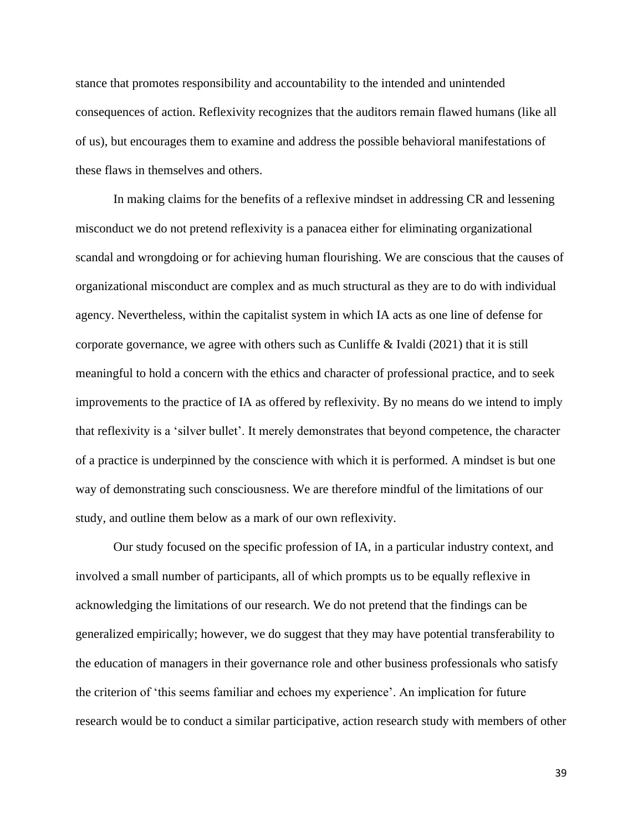stance that promotes responsibility and accountability to the intended and unintended consequences of action. Reflexivity recognizes that the auditors remain flawed humans (like all of us), but encourages them to examine and address the possible behavioral manifestations of these flaws in themselves and others.

In making claims for the benefits of a reflexive mindset in addressing CR and lessening misconduct we do not pretend reflexivity is a panacea either for eliminating organizational scandal and wrongdoing or for achieving human flourishing. We are conscious that the causes of organizational misconduct are complex and as much structural as they are to do with individual agency. Nevertheless, within the capitalist system in which IA acts as one line of defense for corporate governance, we agree with others such as Cunliffe  $\&$  Ivaldi (2021) that it is still meaningful to hold a concern with the ethics and character of professional practice, and to seek improvements to the practice of IA as offered by reflexivity. By no means do we intend to imply that reflexivity is a 'silver bullet'. It merely demonstrates that beyond competence, the character of a practice is underpinned by the conscience with which it is performed. A mindset is but one way of demonstrating such consciousness. We are therefore mindful of the limitations of our study, and outline them below as a mark of our own reflexivity.

Our study focused on the specific profession of IA, in a particular industry context, and involved a small number of participants, all of which prompts us to be equally reflexive in acknowledging the limitations of our research. We do not pretend that the findings can be generalized empirically; however, we do suggest that they may have potential transferability to the education of managers in their governance role and other business professionals who satisfy the criterion of 'this seems familiar and echoes my experience'. An implication for future research would be to conduct a similar participative, action research study with members of other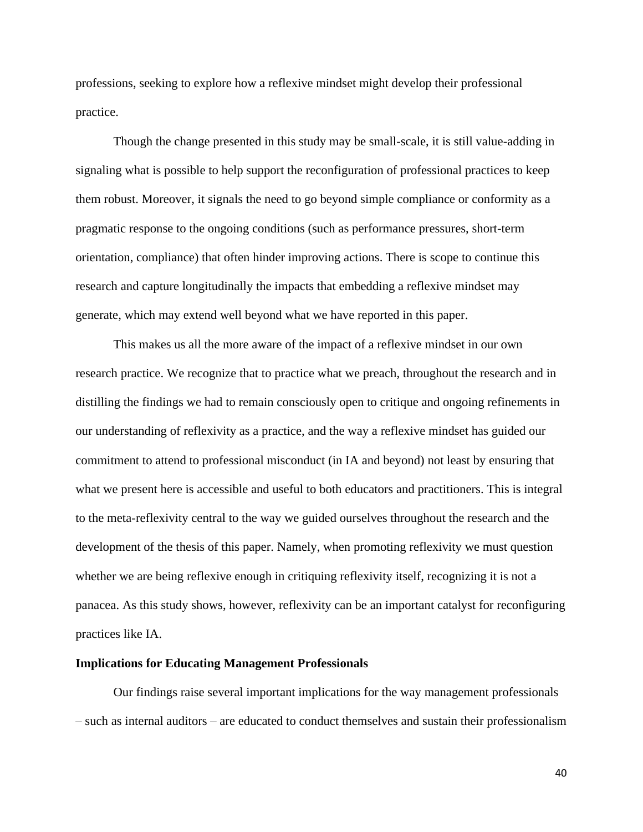professions, seeking to explore how a reflexive mindset might develop their professional practice.

Though the change presented in this study may be small-scale, it is still value-adding in signaling what is possible to help support the reconfiguration of professional practices to keep them robust. Moreover, it signals the need to go beyond simple compliance or conformity as a pragmatic response to the ongoing conditions (such as performance pressures, short-term orientation, compliance) that often hinder improving actions. There is scope to continue this research and capture longitudinally the impacts that embedding a reflexive mindset may generate, which may extend well beyond what we have reported in this paper.

This makes us all the more aware of the impact of a reflexive mindset in our own research practice. We recognize that to practice what we preach, throughout the research and in distilling the findings we had to remain consciously open to critique and ongoing refinements in our understanding of reflexivity as a practice, and the way a reflexive mindset has guided our commitment to attend to professional misconduct (in IA and beyond) not least by ensuring that what we present here is accessible and useful to both educators and practitioners. This is integral to the meta-reflexivity central to the way we guided ourselves throughout the research and the development of the thesis of this paper. Namely, when promoting reflexivity we must question whether we are being reflexive enough in critiquing reflexivity itself, recognizing it is not a panacea. As this study shows, however, reflexivity can be an important catalyst for reconfiguring practices like IA.

#### **Implications for Educating Management Professionals**

Our findings raise several important implications for the way management professionals – such as internal auditors – are educated to conduct themselves and sustain their professionalism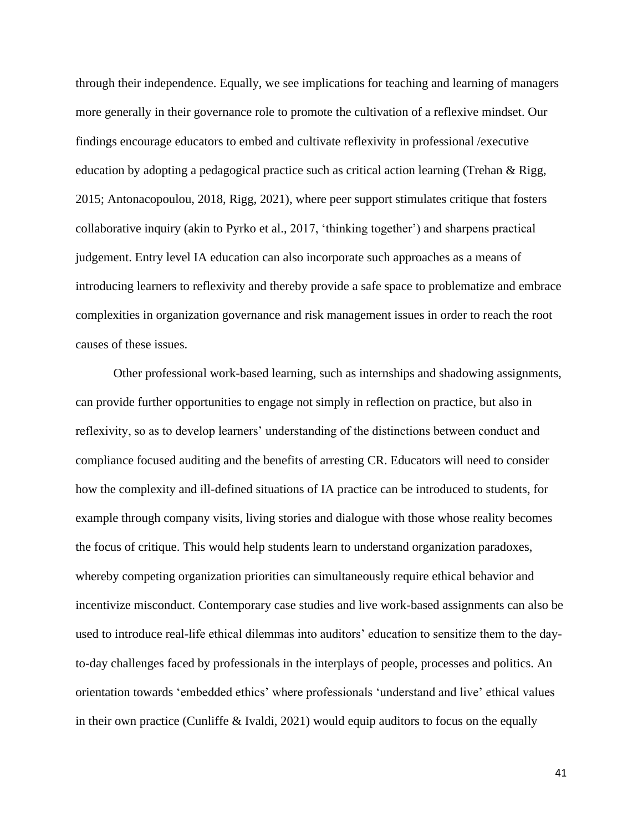through their independence. Equally, we see implications for teaching and learning of managers more generally in their governance role to promote the cultivation of a reflexive mindset. Our findings encourage educators to embed and cultivate reflexivity in professional /executive education by adopting a pedagogical practice such as critical action learning (Trehan & Rigg, 2015; Antonacopoulou, 2018, Rigg, 2021), where peer support stimulates critique that fosters collaborative inquiry (akin to Pyrko et al., 2017, 'thinking together') and sharpens practical judgement. Entry level IA education can also incorporate such approaches as a means of introducing learners to reflexivity and thereby provide a safe space to problematize and embrace complexities in organization governance and risk management issues in order to reach the root causes of these issues.

Other professional work-based learning, such as internships and shadowing assignments, can provide further opportunities to engage not simply in reflection on practice, but also in reflexivity, so as to develop learners' understanding of the distinctions between conduct and compliance focused auditing and the benefits of arresting CR. Educators will need to consider how the complexity and ill-defined situations of IA practice can be introduced to students, for example through company visits, living stories and dialogue with those whose reality becomes the focus of critique. This would help students learn to understand organization paradoxes, whereby competing organization priorities can simultaneously require ethical behavior and incentivize misconduct. Contemporary case studies and live work-based assignments can also be used to introduce real-life ethical dilemmas into auditors' education to sensitize them to the dayto-day challenges faced by professionals in the interplays of people, processes and politics. An orientation towards 'embedded ethics' where professionals 'understand and live' ethical values in their own practice (Cunliffe & Ivaldi, 2021) would equip auditors to focus on the equally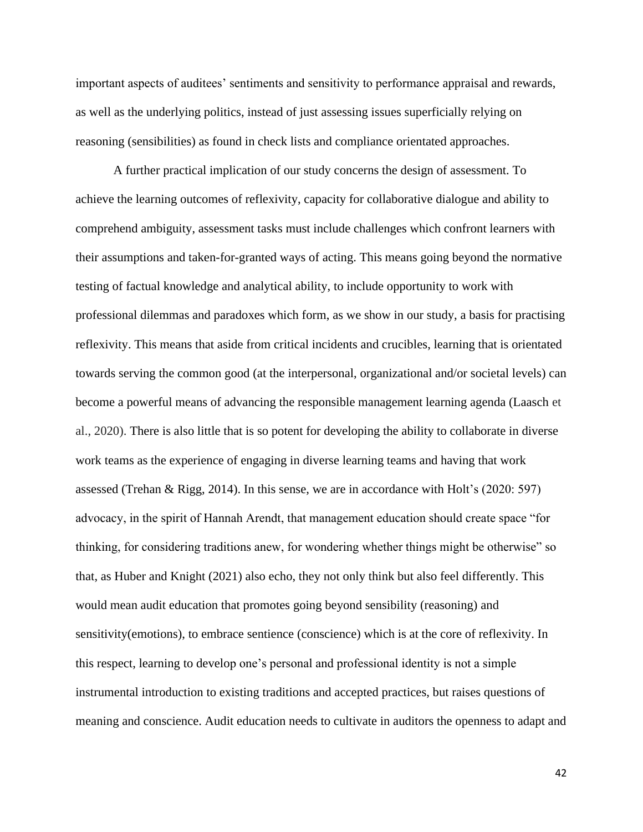important aspects of auditees' sentiments and sensitivity to performance appraisal and rewards, as well as the underlying politics, instead of just assessing issues superficially relying on reasoning (sensibilities) as found in check lists and compliance orientated approaches.

A further practical implication of our study concerns the design of assessment. To achieve the learning outcomes of reflexivity, capacity for collaborative dialogue and ability to comprehend ambiguity, assessment tasks must include challenges which confront learners with their assumptions and taken-for-granted ways of acting. This means going beyond the normative testing of factual knowledge and analytical ability, to include opportunity to work with professional dilemmas and paradoxes which form, as we show in our study, a basis for practising reflexivity. This means that aside from critical incidents and crucibles, learning that is orientated towards serving the common good (at the interpersonal, organizational and/or societal levels) can become a powerful means of advancing the responsible management learning agenda (Laasch et al., 2020). There is also little that is so potent for developing the ability to collaborate in diverse work teams as the experience of engaging in diverse learning teams and having that work assessed (Trehan & Rigg, 2014). In this sense, we are in accordance with Holt's (2020: 597) advocacy, in the spirit of Hannah Arendt, that management education should create space "for thinking, for considering traditions anew, for wondering whether things might be otherwise" so that, as Huber and Knight (2021) also echo, they not only think but also feel differently. This would mean audit education that promotes going beyond sensibility (reasoning) and sensitivity(emotions), to embrace sentience (conscience) which is at the core of reflexivity. In this respect, learning to develop one's personal and professional identity is not a simple instrumental introduction to existing traditions and accepted practices, but raises questions of meaning and conscience. Audit education needs to cultivate in auditors the openness to adapt and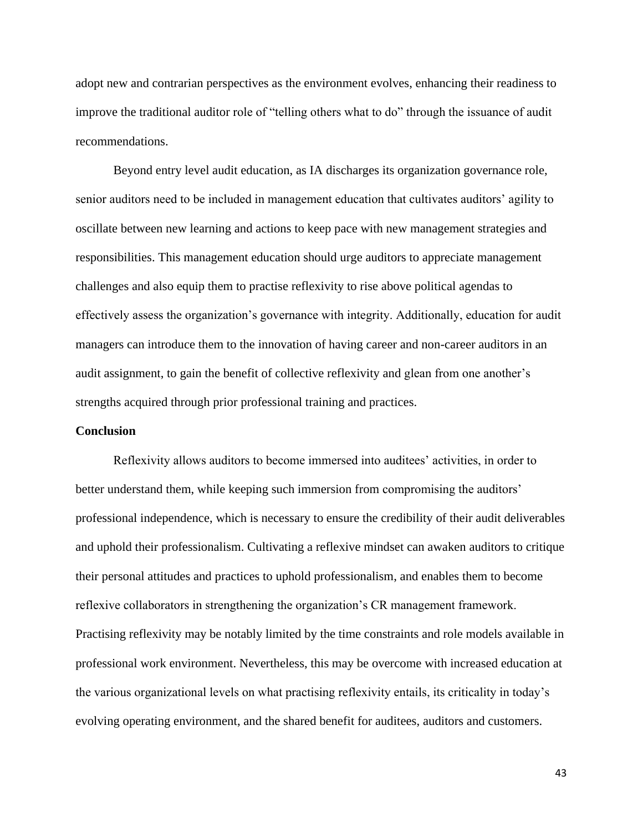adopt new and contrarian perspectives as the environment evolves, enhancing their readiness to improve the traditional auditor role of "telling others what to do" through the issuance of audit recommendations.

Beyond entry level audit education, as IA discharges its organization governance role, senior auditors need to be included in management education that cultivates auditors' agility to oscillate between new learning and actions to keep pace with new management strategies and responsibilities. This management education should urge auditors to appreciate management challenges and also equip them to practise reflexivity to rise above political agendas to effectively assess the organization's governance with integrity. Additionally, education for audit managers can introduce them to the innovation of having career and non-career auditors in an audit assignment, to gain the benefit of collective reflexivity and glean from one another's strengths acquired through prior professional training and practices.

#### **Conclusion**

Reflexivity allows auditors to become immersed into auditees' activities, in order to better understand them, while keeping such immersion from compromising the auditors' professional independence, which is necessary to ensure the credibility of their audit deliverables and uphold their professionalism. Cultivating a reflexive mindset can awaken auditors to critique their personal attitudes and practices to uphold professionalism, and enables them to become reflexive collaborators in strengthening the organization's CR management framework. Practising reflexivity may be notably limited by the time constraints and role models available in professional work environment. Nevertheless, this may be overcome with increased education at the various organizational levels on what practising reflexivity entails, its criticality in today's evolving operating environment, and the shared benefit for auditees, auditors and customers.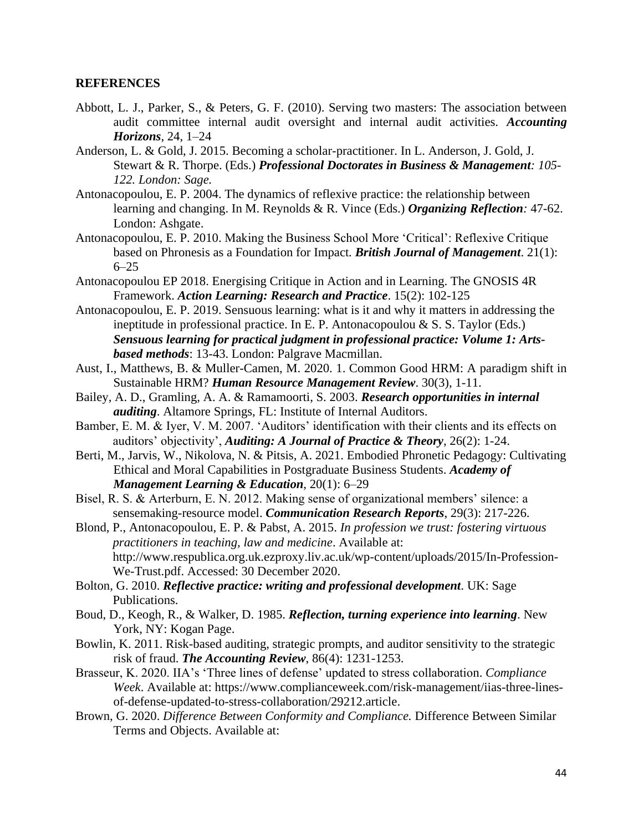## **REFERENCES**

- Abbott, L. J., Parker, S., & Peters, G. F. (2010). Serving two masters: The association between audit committee internal audit oversight and internal audit activities. *Accounting Horizons*, 24, 1–24
- Anderson, L. & Gold, J. 2015. Becoming a scholar-practitioner. In L. Anderson, J. Gold, J. Stewart & R. Thorpe. (Eds.) *Professional Doctorates in Business & Management: 105- 122. London: Sage.*
- Antonacopoulou, E. P. 2004. The dynamics of reflexive practice: the relationship between learning and changing. In M. Reynolds & R. Vince (Eds.) *Organizing Reflection:* 47-62. London: Ashgate.
- Antonacopoulou, E. P. 2010. Making the Business School More 'Critical': Reflexive Critique based on Phronesis as a Foundation for Impact*. British Journal of Management*. 21(1): 6–25
- Antonacopoulou EP 2018. Energising Critique in Action and in Learning. The GNOSIS 4R Framework. *Action Learning: Research and Practice*. 15(2): 102-125
- Antonacopoulou, E. P. 2019. Sensuous learning: what is it and why it matters in addressing the ineptitude in professional practice. In E. P. Antonacopoulou & S. S. Taylor (Eds.) *Sensuous learning for practical judgment in professional practice: Volume 1: Artsbased methods*: 13-43. London: Palgrave Macmillan.
- Aust, I., Matthews, B. & Muller-Camen, M. 2020. 1. Common Good HRM: A paradigm shift in Sustainable HRM? *Human Resource Management Review*. 30(3), 1-11.
- Bailey, A. D., Gramling, A. A. & Ramamoorti, S. 2003. *Research opportunities in internal auditing*. Altamore Springs, FL: Institute of Internal Auditors.
- Bamber, E. M. & Iyer, V. M. 2007. 'Auditors' identification with their clients and its effects on auditors' objectivity', *Auditing: A Journal of Practice & Theory*, 26(2): 1-24.
- Berti, M., Jarvis, W., Nikolova, N. & Pitsis, A. 2021. [Embodied Phronetic Pedagogy: Cultivating](https://journals.aom.org/doi/abs/10.5465/amle.2019.0034)  [Ethical and Moral Capabilities in Postgraduate Business Students.](https://journals.aom.org/doi/abs/10.5465/amle.2019.0034) *Academy of Management Learning & Education*, 20(1): 6–29
- Bisel, R. S. & Arterburn, E. N. 2012. Making sense of organizational members' silence: a sensemaking-resource model. *Communication Research Reports*, 29(3): 217-226.
- Blond, P., Antonacopoulou, E. P. & Pabst, A. 2015. *In profession we trust: fostering virtuous practitioners in teaching, law and medicine*. Available at: [http://www.respublica.org.uk.ezproxy.liv.ac.uk/wp-content/uploads/2015/In-Profession-](http://www.respublica.org.uk.ezproxy.liv.ac.uk/wp-content/uploads/2015/In-Profession-We-Trust.pdf)[We-Trust.pdf.](http://www.respublica.org.uk.ezproxy.liv.ac.uk/wp-content/uploads/2015/In-Profession-We-Trust.pdf) Accessed: 30 December 2020.
- Bolton, G. 2010. *Reflective practice: writing and professional development*. UK: Sage Publications.
- Boud, D., Keogh, R., & Walker, D. 1985. *Reflection, turning experience into learning*. New York, NY: Kogan Page.
- Bowlin, K. 2011. Risk-based auditing, strategic prompts, and auditor sensitivity to the strategic risk of fraud. *The Accounting Review*, 86(4): 1231-1253.
- Brasseur, K. 2020. IIA's 'Three lines of defense' updated to stress collaboration. *Compliance Week*. Available at: [https://www.complianceweek.com/risk-management/iias-three-lines](https://www.complianceweek.com/risk-management/iias-three-lines-of-defense-updated-to-stress-collaboration/29212.article)[of-defense-updated-to-stress-collaboration/29212.article.](https://www.complianceweek.com/risk-management/iias-three-lines-of-defense-updated-to-stress-collaboration/29212.article)
- Brown, G. 2020. *Difference Between Conformity and Compliance.* Difference Between Similar Terms and Objects. Available at: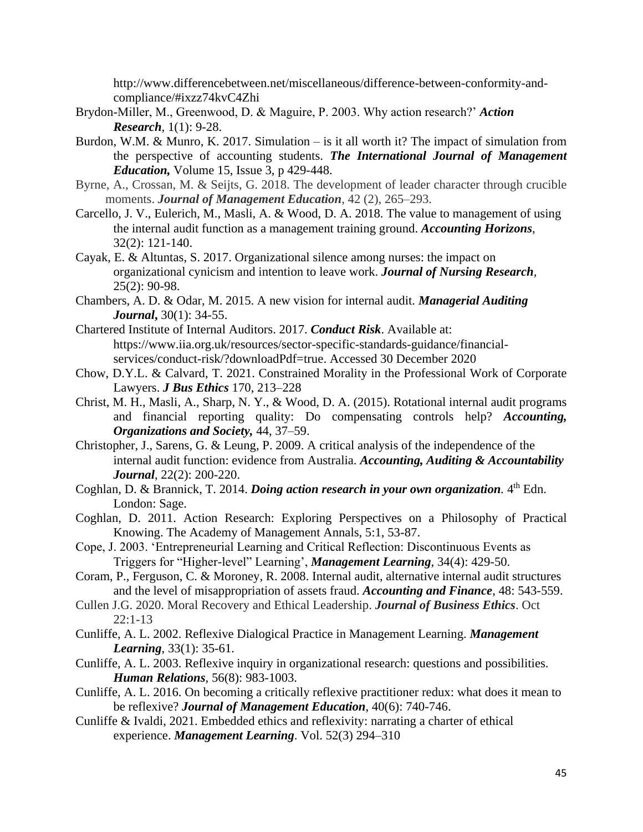[http://www.differencebetween.net/miscellaneous/difference-between-conformity-and](http://www.differencebetween.net/miscellaneous/difference-between-conformity-and-compliance/#ixzz74kvC4Zhi)[compliance/#ixzz74kvC4Zhi](http://www.differencebetween.net/miscellaneous/difference-between-conformity-and-compliance/#ixzz74kvC4Zhi)

- Brydon-Miller, M., Greenwood, D. & Maguire, P. 2003. Why action research?' *Action Research*, 1(1): 9-28.
- Burdon, W.M. & Munro, K. 2017. Simulation is it all worth it? The impact of simulation from the perspective of accounting students. *The International Journal of Management Education,* Volume 15, Issue 3, p 429-448.
- Byrne, A., Crossan, M. & Seijts, G. 2018. The development of leader character through crucible moments. *Journal of Management Education*, 42 (2), 265–293.
- Carcello, J. V., Eulerich, M., Masli, A. & Wood, D. A. 2018. The value to management of using the internal audit function as a management training ground. *Accounting Horizons*, 32(2): 121-140.
- Cayak, E. & Altuntas, S. 2017. Organizational silence among nurses: the impact on organizational cynicism and intention to leave work. *Journal of Nursing Research,* 25(2): 90-98.
- Chambers, A. D. & Odar, M. 2015. A new vision for internal audit. *Managerial Auditing Journal***,** 30(1): 34-55.
- Chartered Institute of Internal Auditors. 2017. *Conduct Risk*. Available at: [https://www.iia.org.uk/resources/sector-specific-standards-guidance/financial](https://www.iia.org.uk/resources/sector-specific-standards-guidance/financial-services/conduct-risk/?downloadPdf=true)[services/conduct-risk/?downloadPdf=true.](https://www.iia.org.uk/resources/sector-specific-standards-guidance/financial-services/conduct-risk/?downloadPdf=true) Accessed 30 December 2020
- Chow, D.Y.L. & Calvard, T. 2021. Constrained Morality in the Professional Work of Corporate Lawyers. *J Bus Ethics* 170, 213–228
- Christ, M. H., Masli, A., Sharp, N. Y., & Wood, D. A. (2015). Rotational internal audit programs and financial reporting quality: Do compensating controls help? *Accounting, Organizations and Society,* 44, 37–59.
- Christopher, J., Sarens, G. & Leung, P. 2009. A critical analysis of the independence of the internal audit function: evidence from Australia. *Accounting, Auditing & Accountability Journal*, 22(2): 200-220.
- Coghlan, D. & Brannick, T. 2014. *Doing action research in your own organization*. 4<sup>th</sup> Edn. London: Sage.
- Coghlan, D. 2011. Action Research: Exploring Perspectives on a Philosophy of Practical Knowing. The Academy of Management Annals, 5:1, 53-87.
- Cope, J. 2003. 'Entrepreneurial Learning and Critical Reflection: Discontinuous Events as Triggers for "Higher-level" Learning', *Management Learning*, 34(4): 429-50.
- Coram, P., Ferguson, C. & Moroney, R. 2008. Internal audit, alternative internal audit structures and the level of misappropriation of assets fraud. *Accounting and Finance*, 48: 543-559.
- Cullen J.G. 2020. Moral Recovery and Ethical Leadership. *Journal of Business Ethics*. Oct 22:1-13
- Cunliffe, A. L. 2002. Reflexive Dialogical Practice in Management Learning. *Management Learning*, 33(1): 35-61.
- Cunliffe, A. L. 2003. Reflexive inquiry in organizational research: questions and possibilities. *Human Relations*, 56(8): 983-1003.
- Cunliffe, A. L. 2016. On becoming a critically reflexive practitioner redux: what does it mean to be reflexive? *Journal of Management Education*, 40(6): 740-746.
- Cunliffe & Ivaldi, 2021. Embedded ethics and reflexivity: narrating a charter of ethical experience. *Management Learning*. Vol. 52(3) 294–310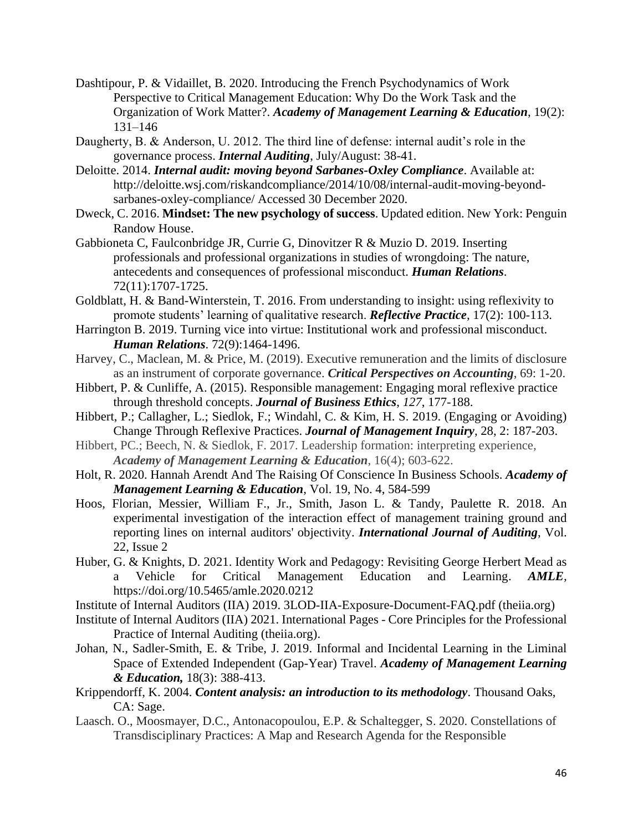- Dashtipour, P. & Vidaillet, B. 2020. [Introducing the French Psychodynamics of Work](https://journals.aom.org/doi/abs/10.5465/amle.2018.0128)  [Perspective to Critical Management Education: Why Do the Work Task and the](https://journals.aom.org/doi/abs/10.5465/amle.2018.0128)  [Organization of Work Matter?.](https://journals.aom.org/doi/abs/10.5465/amle.2018.0128) *Academy of Management Learning & Education*, 19(2): 131–146
- Daugherty, B. & Anderson, U. 2012. The third line of defense: internal audit's role in the governance process. *Internal Auditing*, July/August: 38-41.
- Deloitte. 2014. *Internal audit: moving beyond Sarbanes-Oxley Compliance*. Available at: [http://deloitte.wsj.com/riskandcompliance/2014/10/08/internal-audit-moving-beyond](http://deloitte.wsj.com/riskandcompliance/2014/10/08/internal-audit-moving-beyond-sarbanes-oxley-compliance/)[sarbanes-oxley-compliance/](http://deloitte.wsj.com/riskandcompliance/2014/10/08/internal-audit-moving-beyond-sarbanes-oxley-compliance/) Accessed 30 December 2020.
- Dweck, C. 2016. **Mindset: The new psychology of success**. Updated edition. New York: Penguin Randow House.
- Gabbioneta C, Faulconbridge JR, Currie G, Dinovitzer R & Muzio D. 2019. Inserting professionals and professional organizations in studies of wrongdoing: The nature, antecedents and consequences of professional misconduct. *Human Relations*. 72(11):1707-1725.
- Goldblatt, H. & Band-Winterstein, T. 2016. From understanding to insight: using reflexivity to promote students' learning of qualitative research. *Reflective Practice*, 17(2): 100-113.
- Harrington B. 2019. Turning vice into virtue: Institutional work and professional misconduct. *Human Relations*. 72(9):1464-1496.
- Harvey, C., Maclean, M. & Price, M. (2019). Executive remuneration and the limits of disclosure as an instrument of corporate governance. *Critical Perspectives on Accounting*, 69: 1-20.
- Hibbert, P. & Cunliffe, A. (2015). Responsible management: Engaging moral reflexive practice through threshold concepts. *Journal of Business Ethics*, *127*, 177-188.
- Hibbert, P.; Callagher, L.; Siedlok, F.; Windahl, C. & Kim, H. S. 2019. (Engaging or Avoiding) Change Through Reflexive Practices. *Journal of Management Inquiry*, 28, 2: 187-203.
- Hibbert, PC.; Beech, N. & Siedlok, F. 2017. Leadership formation: interpreting experience, *Academy of Management Learning & Education*, 16(4); 603-622.
- Holt, R. 2020. Hannah Arendt And The Raising Of Conscience In Business Schools. *Academy of Management Learning & Education*, Vol. 19, No. 4, 584-599
- Hoos, Florian, Messier, William F., Jr., Smith, Jason L. & Tandy, Paulette R. 2018. An experimental investigation of the interaction effect of management training ground and reporting lines on internal auditors' objectivity. *International Journal of Auditing*, Vol. 22, Issue 2
- Huber, G. & Knights, D. 2021. [Identity Work and Pedagogy: Revisiting George Herbert Mead as](https://journals.aom.org/doi/abs/10.5465/amle.2020.0212)  [a Vehicle for Critical Management Education and Learning.](https://journals.aom.org/doi/abs/10.5465/amle.2020.0212) *AMLE,*  [https://doi.org/10.5465/amle.2020.0212](https://journals.aom.org/doi/abs/10.5465/amle.2020.0212)
- Institute of Internal Auditors (IIA) 2019. [3LOD-IIA-Exposure-Document-FAQ.pdf \(theiia.org\)](https://na.theiia.org/about-ia/PublicDocuments/3LOD-IIA-Exposure-Document-FAQ.pdf)
- Institute of Internal Auditors (IIA) 2021. International Pages [Core Principles for the Professional](https://na.theiia.org/standards-guidance/mandatory-guidance/Pages/Core-Principles-for-the-Professional-Practice-of-Internal-Auditing.aspx)  [Practice of Internal Auditing \(theiia.org\).](https://na.theiia.org/standards-guidance/mandatory-guidance/Pages/Core-Principles-for-the-Professional-Practice-of-Internal-Auditing.aspx)
- Johan, N., Sadler-Smith, E. & Tribe, J. 2019. Informal and Incidental Learning in the Liminal Space of Extended Independent (Gap-Year) Travel. *Academy of Management Learning & Education,* 18(3): 388-413.
- Krippendorff, K. 2004. *Content analysis: an introduction to its methodology*. Thousand Oaks, CA: Sage.
- Laasch. O., Moosmayer, D.C., Antonacopoulou, E.P. & Schaltegger, S. 2020. Constellations of Transdisciplinary Practices: A Map and Research Agenda for the Responsible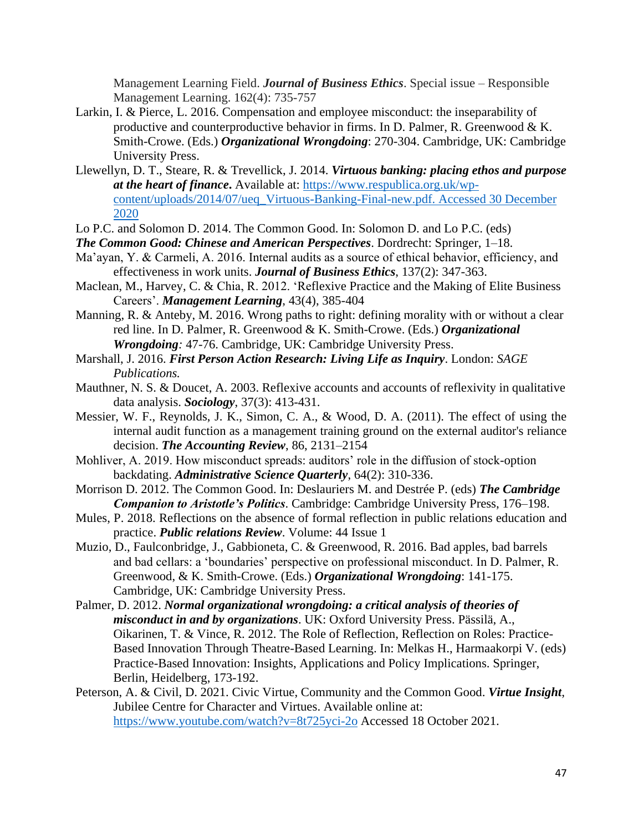Management Learning Field. *Journal of Business Ethics*. Special issue – Responsible Management Learning. 162(4): 735-757

- Larkin, I. & Pierce, L. 2016. Compensation and employee misconduct: the inseparability of productive and counterproductive behavior in firms. In D. Palmer, R. Greenwood & K. Smith-Crowe. (Eds.) *Organizational Wrongdoing*: 270-304. Cambridge, UK: Cambridge University Press.
- Llewellyn, D. T., Steare, R. & Trevellick, J. 2014. *Virtuous banking: placing ethos and purpose at the heart of finance***.** Available at: [https://www.respublica.org.uk/wp](https://www.respublica.org.uk/wp-content/uploads/2014/07/ueq_Virtuous-Banking-Final-new.pdf.%20Accessed%2030%20December%202020)[content/uploads/2014/07/ueq\\_Virtuous-Banking-Final-new.pdf. Accessed 30 December](https://www.respublica.org.uk/wp-content/uploads/2014/07/ueq_Virtuous-Banking-Final-new.pdf.%20Accessed%2030%20December%202020)  [2020](https://www.respublica.org.uk/wp-content/uploads/2014/07/ueq_Virtuous-Banking-Final-new.pdf.%20Accessed%2030%20December%202020)

*The Common Good: Chinese and American Perspectives*. Dordrecht: Springer, 1–18.

- Ma'ayan, Y. & Carmeli, A. 2016. Internal audits as a source of ethical behavior, efficiency, and effectiveness in work units. *Journal of Business Ethics*, 137(2): 347-363.
- Maclean, M., Harvey, C. & Chia, R. 2012. 'Reflexive Practice and the Making of Elite Business Careers'. *Management Learning*, 43(4), 385-404
- Manning, R. & Anteby, M. 2016. Wrong paths to right: defining morality with or without a clear red line. In D. Palmer, R. Greenwood & K. Smith-Crowe. (Eds.) *Organizational Wrongdoing:* 47-76. Cambridge, UK: Cambridge University Press.
- Marshall, J. 2016. *[First Person Action Research: Living Life as Inquiry](https://eds-a-ebscohost-com.liverpool.idm.oclc.org/eds/viewarticle/render?data=dGJyMPPp44rp2%2fdV0%2bnjisfk5Ie45PFIr6ewTLWk63nn5Kx94um%2bUa2osUewprBInqy4TLaws1Get8s%2b8ujfhvHX4Yzn5eyB4rOxTrKuskmuqbc%2b6tfsf7vb7D7i2Lt94unujeCc8nnls79mpNfsVePa7km3r7VJtKy3PuTl8IXf6rt%2b8%2bLqjOPu8gAA&vid=0&sid=851ccbd1-1e4d-4339-bc7d-a7fffbaa2dd5@sessionmgr4008)*. London: *SAGE Publications.*
- Mauthner, N. S. & Doucet, A. 2003. Reflexive accounts and accounts of reflexivity in qualitative data analysis. *Sociology*, 37(3): 413-431.
- Messier, W. F., Reynolds, J. K., Simon, C. A., & Wood, D. A. (2011). The effect of using the internal audit function as a management training ground on the external auditor's reliance decision. *The Accounting Review*, 86, 2131–2154
- Mohliver, A. 2019. How misconduct spreads: auditors' role in the diffusion of stock-option backdating. *Administrative Science Quarterly*, 64(2): 310-336.
- Morrison D. 2012. The Common Good. In: Deslauriers M. and Destrée P. (eds) *The Cambridge Companion to Aristotle's Politics*. Cambridge: Cambridge University Press, 176–198.
- Mules, P. 2018. Reflections on the absence of formal reflection in public relations education and practice. *Public relations Review*. Volume: 44 Issue 1
- Muzio, D., Faulconbridge, J., Gabbioneta, C. & Greenwood, R. 2016. Bad apples, bad barrels and bad cellars: a 'boundaries' perspective on professional misconduct. In D. Palmer, R. Greenwood, & K. Smith-Crowe. (Eds.) *Organizational Wrongdoing*: 141-175. Cambridge, UK: Cambridge University Press.
- Palmer, D. 2012. *Normal organizational wrongdoing: a critical analysis of theories of misconduct in and by organizations*. UK: Oxford University Press. Pässilä, A., Oikarinen, T. & Vince, R. 2012. The Role of Reflection, Reflection on Roles: Practice-Based Innovation Through Theatre-Based Learning. In: Melkas H., Harmaakorpi V. (eds) Practice-Based Innovation: Insights, Applications and Policy Implications. Springer, Berlin, Heidelberg, 173-192.
- Peterson, A. & Civil, D. 2021. Civic Virtue, Community and the Common Good. *Virtue Insight*, Jubilee Centre for Character and Virtues. Available online at: <https://www.youtube.com/watch?v=8t725yci-2o> Accessed 18 October 2021.

Lo P.C. and Solomon D. 2014. The Common Good. In: Solomon D. and Lo P.C. (eds)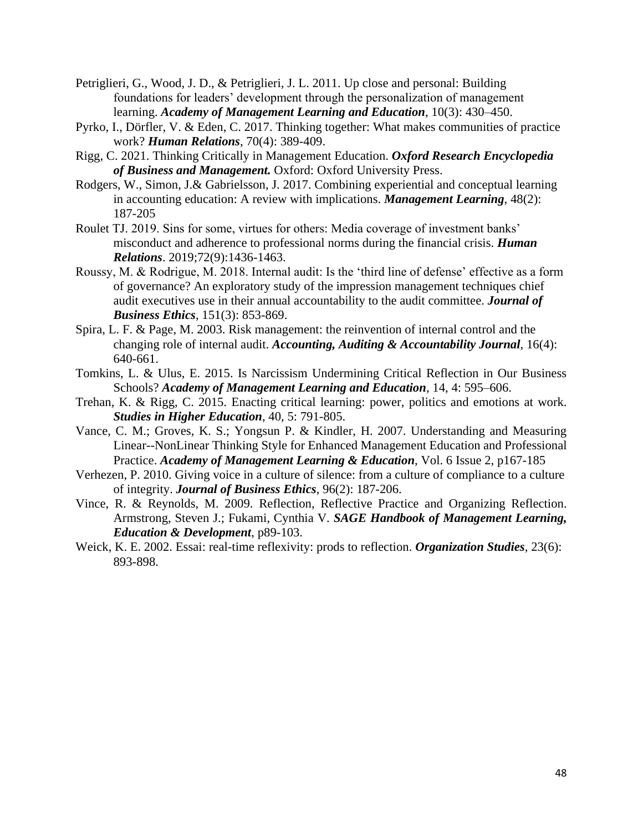- Petriglieri, G., Wood, J. D., & Petriglieri, J. L. 2011. Up close and personal: Building foundations for leaders' development through the personalization of management learning. *Academy of Management Learning and Education*, 10(3): 430–450.
- Pyrko, I., Dörfler, V. & Eden, C. 2017. Thinking together: What makes communities of practice work? *Human Relations*, 70(4): 389-409.
- Rigg, C. 2021. Thinking Critically in Management Education. *Oxford Research Encyclopedia of Business and Management.* Oxford: Oxford University Press.
- Rodgers, W., Simon, J.& Gabrielsson, J. 2017. Combining experiential and conceptual learning in accounting education: A review with implications. *Management Learning*, 48(2): 187-205
- Roulet TJ. 2019. Sins for some, virtues for others: Media coverage of investment banks' misconduct and adherence to professional norms during the financial crisis. *Human Relations*. 2019;72(9):1436-1463.
- Roussy, M. & Rodrigue, M. 2018. Internal audit: Is the 'third line of defense' effective as a form of governance? An exploratory study of the impression management techniques chief audit executives use in their annual accountability to the audit committee. *Journal of Business Ethics*, 151(3): 853-869.
- Spira, L. F. & Page, M. 2003. Risk management: the reinvention of internal control and the changing role of internal audit. *Accounting, Auditing & Accountability Journal*, 16(4): 640-661.
- Tomkins, L. & Ulus, E. 2015. Is Narcissism Undermining Critical Reflection in Our Business Schools? *Academy of Management Learning and Education*, 14, 4: 595–606.
- Trehan, K. & Rigg, C. 2015. Enacting critical learning: power, politics and emotions at work. *Studies in Higher Education*, 40, 5: 791-805.
- Vance, C. M.; Groves, K. S.; Yongsun P. & Kindler, H. 2007. Understanding and Measuring Linear--NonLinear Thinking Style for Enhanced Management Education and Professional Practice. *Academy of Management Learning & Education*, Vol. 6 Issue 2, p167-185
- Verhezen, P. 2010. Giving voice in a culture of silence: from a culture of compliance to a culture of integrity. *Journal of Business Ethics*, 96(2): 187-206.
- Vince, R. & Reynolds, M. 2009. Reflection, Reflective Practice and Organizing Reflection. Armstrong, Steven J.; Fukami, Cynthia V. *SAGE Handbook of Management Learning, Education & Development*, p89-103.
- Weick, K. E. 2002. Essai: real-time reflexivity: prods to reflection. *Organization Studies*, 23(6): 893-898.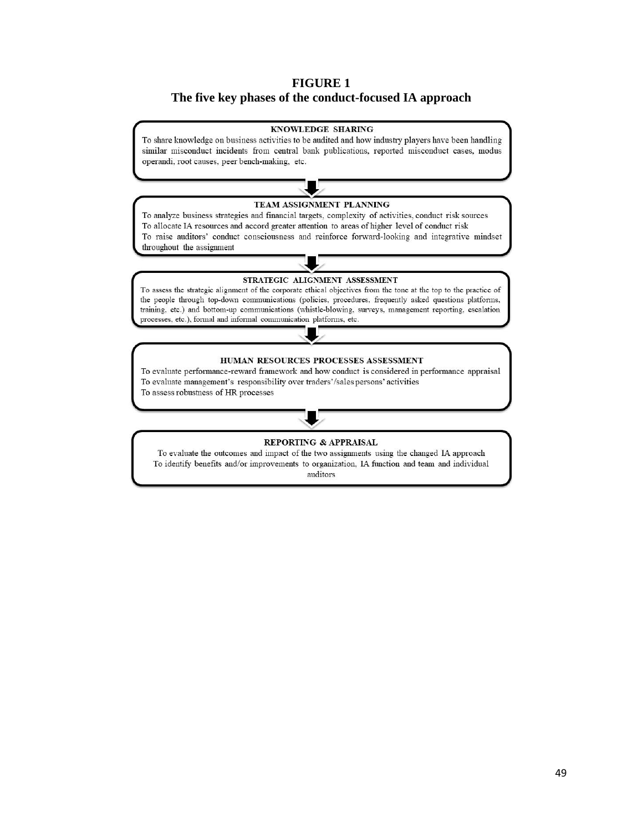# **FIGURE 1 The five key phases of the conduct-focused IA approach**



auditors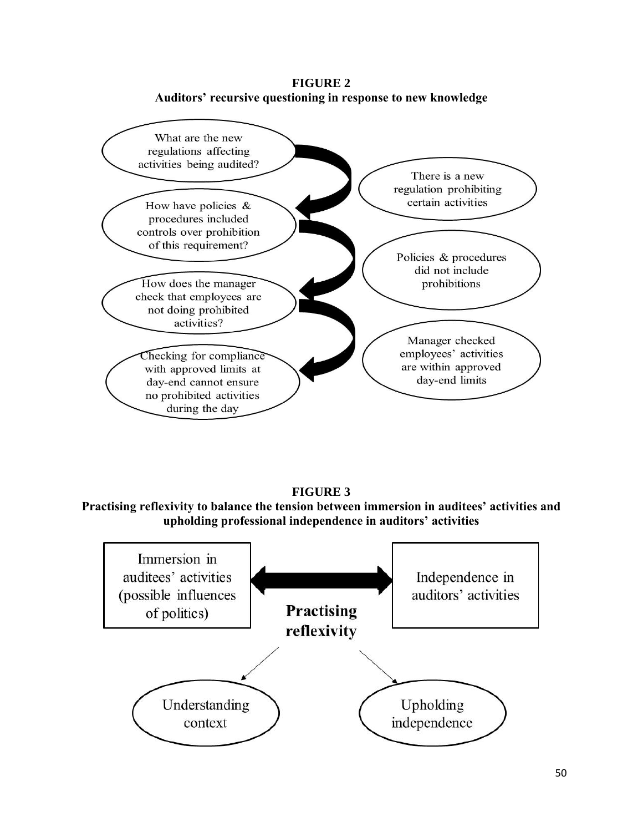**FIGURE 2 Auditors' recursive questioning in response to new knowledge**



**FIGURE 3**

**Practising reflexivity to balance the tension between immersion in auditees' activities and upholding professional independence in auditors' activities**

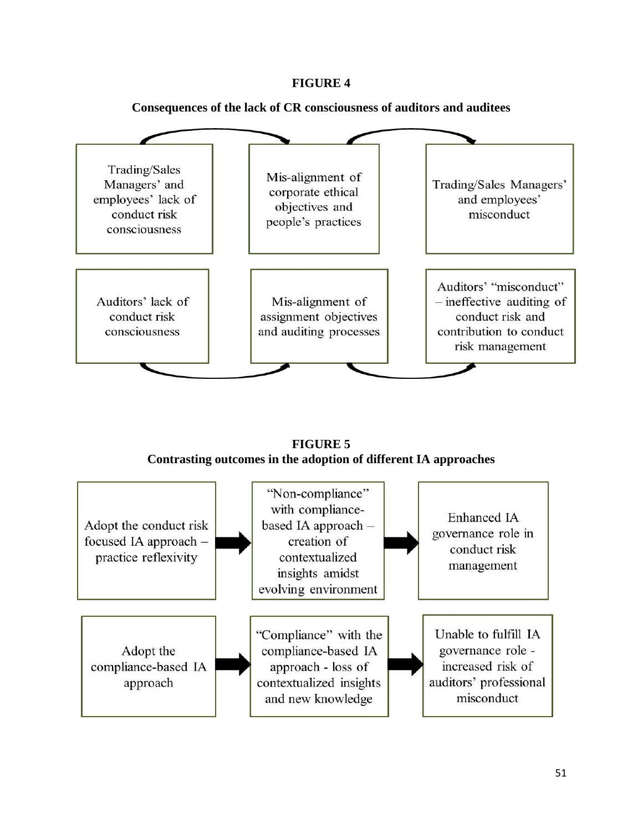# **FIGURE 4**



**Consequences of the lack of CR consciousness of auditors and auditees**

**FIGURE 5 Contrasting outcomes in the adoption of different IA approaches**

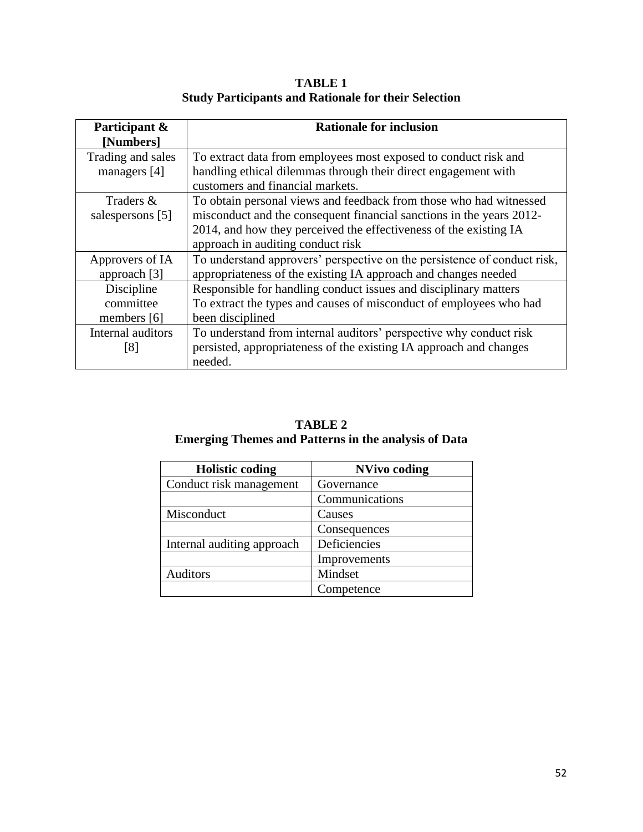| Participant &<br>[Numbers] | <b>Rationale for inclusion</b>                                           |
|----------------------------|--------------------------------------------------------------------------|
| Trading and sales          | To extract data from employees most exposed to conduct risk and          |
| managers [4]               | handling ethical dilemmas through their direct engagement with           |
|                            | customers and financial markets.                                         |
| Traders &                  | To obtain personal views and feedback from those who had witnessed       |
| salespersons [5]           | misconduct and the consequent financial sanctions in the years 2012-     |
|                            | 2014, and how they perceived the effectiveness of the existing IA        |
|                            | approach in auditing conduct risk                                        |
| Approvers of IA            | To understand approvers' perspective on the persistence of conduct risk, |
| approach [3]               | appropriateness of the existing IA approach and changes needed           |
| Discipline                 | Responsible for handling conduct issues and disciplinary matters         |
| committee                  | To extract the types and causes of misconduct of employees who had       |
| members [6]                | been disciplined                                                         |
| Internal auditors          | To understand from internal auditors' perspective why conduct risk       |
| [8]                        | persisted, appropriateness of the existing IA approach and changes       |
|                            | needed.                                                                  |

**TABLE 1 Study Participants and Rationale for their Selection**

| <b>TABLE 2</b>                                              |
|-------------------------------------------------------------|
| <b>Emerging Themes and Patterns in the analysis of Data</b> |

| <b>Holistic coding</b>     | <b>NVivo coding</b> |
|----------------------------|---------------------|
| Conduct risk management    | Governance          |
|                            | Communications      |
| Misconduct                 | Causes              |
|                            | Consequences        |
| Internal auditing approach | Deficiencies        |
|                            | Improvements        |
| Auditors                   | Mindset             |
|                            | Competence          |